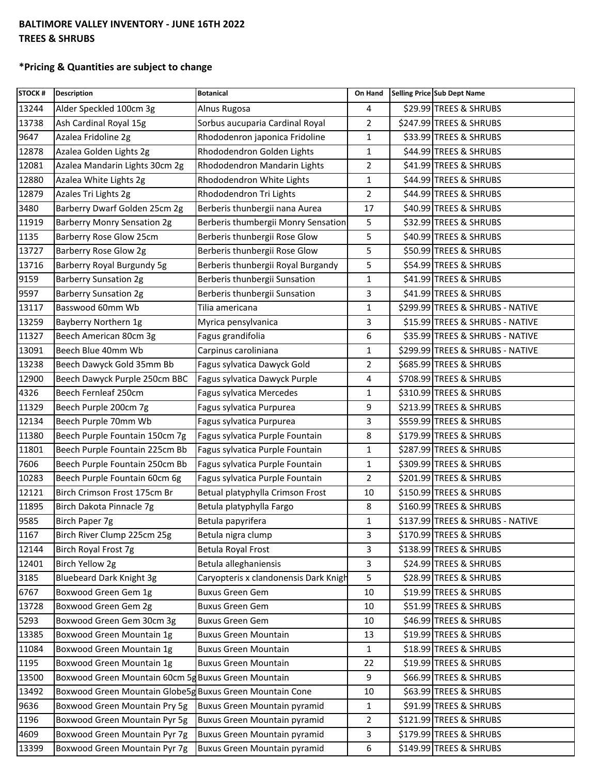## **BALTIMORE VALLEY INVENTORY - JUNE 16TH 2022 TREES & SHRUBS**

## **\*Pricing & Quantities are subject to change**

| STOCK # | <b>Description</b>                                       | <b>Botanical</b>                      | On Hand        | Selling Price Sub Dept Name      |
|---------|----------------------------------------------------------|---------------------------------------|----------------|----------------------------------|
| 13244   | Alder Speckled 100cm 3g                                  | Alnus Rugosa                          | 4              | \$29.99 TREES & SHRUBS           |
| 13738   | Ash Cardinal Royal 15g                                   | Sorbus aucuparia Cardinal Royal       | 2              | \$247.99 TREES & SHRUBS          |
| 9647    | Azalea Fridoline 2g                                      | Rhododenron japonica Fridoline        | 1              | \$33.99 TREES & SHRUBS           |
| 12878   | Azalea Golden Lights 2g                                  | Rhododendron Golden Lights            | 1              | \$44.99 TREES & SHRUBS           |
| 12081   | Azalea Mandarin Lights 30cm 2g                           | Rhododendron Mandarin Lights          | $\overline{2}$ | \$41.99 TREES & SHRUBS           |
| 12880   | Azalea White Lights 2g                                   | Rhododendron White Lights             | $\mathbf{1}$   | \$44.99 TREES & SHRUBS           |
| 12879   | Azales Tri Lights 2g                                     | Rhododendron Tri Lights               | 2              | \$44.99 TREES & SHRUBS           |
| 3480    | Barberry Dwarf Golden 25cm 2g                            | Berberis thunbergii nana Aurea        | 17             | \$40.99 TREES & SHRUBS           |
| 11919   | <b>Barberry Monry Sensation 2g</b>                       | Berberis thumbergii Monry Sensation   | 5              | \$32.99 TREES & SHRUBS           |
| 1135    | Barberry Rose Glow 25cm                                  | Berberis thunbergii Rose Glow         | 5              | \$40.99 TREES & SHRUBS           |
| 13727   | Barberry Rose Glow 2g                                    | Berberis thunbergii Rose Glow         | 5              | \$50.99 TREES & SHRUBS           |
| 13716   | Barberry Royal Burgundy 5g                               | Berberis thunbergii Royal Burgandy    | 5              | \$54.99 TREES & SHRUBS           |
| 9159    | <b>Barberry Sunsation 2g</b>                             | Berberis thunbergii Sunsation         | 1              | \$41.99 TREES & SHRUBS           |
| 9597    | <b>Barberry Sunsation 2g</b>                             | Berberis thunbergii Sunsation         | 3              | \$41.99 TREES & SHRUBS           |
| 13117   | Basswood 60mm Wb                                         | Tilia americana                       | $\mathbf{1}$   | \$299.99 TREES & SHRUBS - NATIVE |
| 13259   | Bayberry Northern 1g                                     | Myrica pensylvanica                   | 3              | \$15.99 TREES & SHRUBS - NATIVE  |
| 11327   | Beech American 80cm 3g                                   | Fagus grandifolia                     | 6              | \$35.99 TREES & SHRUBS - NATIVE  |
| 13091   | Beech Blue 40mm Wb                                       | Carpinus caroliniana                  | 1              | \$299.99 TREES & SHRUBS - NATIVE |
| 13238   | Beech Dawyck Gold 35mm Bb                                | Fagus sylvatica Dawyck Gold           | 2              | \$685.99 TREES & SHRUBS          |
| 12900   | Beech Dawyck Purple 250cm BBC                            | Fagus sylvatica Dawyck Purple         | 4              | \$708.99 TREES & SHRUBS          |
| 4326    | Beech Fernleaf 250cm                                     | Fagus sylvatica Mercedes              | 1              | \$310.99 TREES & SHRUBS          |
| 11329   | Beech Purple 200cm 7g                                    | Fagus sylvatica Purpurea              | 9              | \$213.99 TREES & SHRUBS          |
| 12134   | Beech Purple 70mm Wb                                     | Fagus sylvatica Purpurea              | 3              | \$559.99 TREES & SHRUBS          |
| 11380   | Beech Purple Fountain 150cm 7g                           | Fagus sylvatica Purple Fountain       | 8              | \$179.99 TREES & SHRUBS          |
| 11801   | Beech Purple Fountain 225cm Bb                           | Fagus sylvatica Purple Fountain       | $\mathbf{1}$   | \$287.99 TREES & SHRUBS          |
| 7606    | Beech Purple Fountain 250cm Bb                           | Fagus sylvatica Purple Fountain       | 1              | \$309.99 TREES & SHRUBS          |
| 10283   | Beech Purple Fountain 60cm 6g                            | Fagus sylvatica Purple Fountain       | $\overline{2}$ | \$201.99 TREES & SHRUBS          |
| 12121   | Birch Crimson Frost 175cm Br                             | Betual platyphylla Crimson Frost      | 10             | \$150.99 TREES & SHRUBS          |
| 11895   | Birch Dakota Pinnacle 7g                                 | Betula platyphylla Fargo              | 8              | \$160.99 TREES & SHRUBS          |
| 9585    | Birch Paper 7g                                           | Betula papyrifera                     | $\mathbf{1}$   | \$137.99 TREES & SHRUBS - NATIVE |
| 1167    | Birch River Clump 225cm 25g                              | Betula nigra clump                    | 3              | \$170.99 TREES & SHRUBS          |
| 12144   | Birch Royal Frost 7g                                     | Betula Royal Frost                    | 3              | \$138.99 TREES & SHRUBS          |
| 12401   | Birch Yellow 2g                                          | Betula alleghaniensis                 | 3              | \$24.99 TREES & SHRUBS           |
| 3185    | <b>Bluebeard Dark Knight 3g</b>                          | Caryopteris x clandonensis Dark Knigh | 5              | \$28.99 TREES & SHRUBS           |
| 6767    | Boxwood Green Gem 1g                                     | <b>Buxus Green Gem</b>                | 10             | \$19.99 TREES & SHRUBS           |
| 13728   | Boxwood Green Gem 2g                                     | <b>Buxus Green Gem</b>                | 10             | \$51.99 TREES & SHRUBS           |
| 5293    | Boxwood Green Gem 30cm 3g                                | <b>Buxus Green Gem</b>                | 10             | \$46.99 TREES & SHRUBS           |
| 13385   | Boxwood Green Mountain 1g                                | <b>Buxus Green Mountain</b>           | 13             | \$19.99 TREES & SHRUBS           |
| 11084   | Boxwood Green Mountain 1g                                | <b>Buxus Green Mountain</b>           | 1              | \$18.99 TREES & SHRUBS           |
| 1195    | Boxwood Green Mountain 1g                                | <b>Buxus Green Mountain</b>           | 22             | \$19.99 TREES & SHRUBS           |
| 13500   | Boxwood Green Mountain 60cm 5g Buxus Green Mountain      |                                       | 9              | \$66.99 TREES & SHRUBS           |
| 13492   | Boxwood Green Mountain Globe5g Buxus Green Mountain Cone |                                       | 10             | \$63.99 TREES & SHRUBS           |
| 9636    | Boxwood Green Mountain Pry 5g                            | Buxus Green Mountain pyramid          | 1              | \$91.99 TREES & SHRUBS           |
| 1196    | Boxwood Green Mountain Pyr 5g                            | <b>Buxus Green Mountain pyramid</b>   | $\overline{2}$ | \$121.99 TREES & SHRUBS          |
| 4609    | Boxwood Green Mountain Pyr 7g                            | Buxus Green Mountain pyramid          | 3              | \$179.99 TREES & SHRUBS          |
| 13399   | Boxwood Green Mountain Pyr 7g                            | Buxus Green Mountain pyramid          | 6              | \$149.99 TREES & SHRUBS          |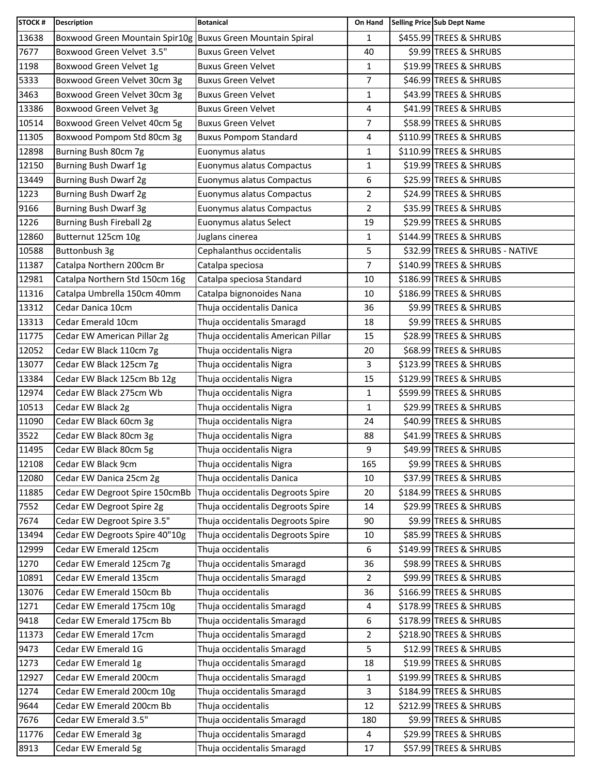| STOCK # | <b>Description</b>                                         | <b>Botanical</b>                   | On Hand        | Selling Price Sub Dept Name     |
|---------|------------------------------------------------------------|------------------------------------|----------------|---------------------------------|
| 13638   | Boxwood Green Mountain Spir10g Buxus Green Mountain Spiral |                                    | $\mathbf{1}$   | \$455.99 TREES & SHRUBS         |
| 7677    | Boxwood Green Velvet 3.5"                                  | <b>Buxus Green Velvet</b>          | 40             | \$9.99 TREES & SHRUBS           |
| 1198    | Boxwood Green Velvet 1g                                    | <b>Buxus Green Velvet</b>          | $\mathbf{1}$   | \$19.99 TREES & SHRUBS          |
| 5333    | Boxwood Green Velvet 30cm 3g                               | <b>Buxus Green Velvet</b>          | 7              | \$46.99 TREES & SHRUBS          |
| 3463    | Boxwood Green Velvet 30cm 3g                               | <b>Buxus Green Velvet</b>          | $\mathbf 1$    | \$43.99 TREES & SHRUBS          |
| 13386   | Boxwood Green Velvet 3g                                    | <b>Buxus Green Velvet</b>          | 4              | \$41.99 TREES & SHRUBS          |
| 10514   | Boxwood Green Velvet 40cm 5g                               | <b>Buxus Green Velvet</b>          | 7              | \$58.99 TREES & SHRUBS          |
| 11305   | Boxwood Pompom Std 80cm 3g                                 | <b>Buxus Pompom Standard</b>       | 4              | \$110.99 TREES & SHRUBS         |
| 12898   | Burning Bush 80cm 7g                                       | Euonymus alatus                    | $\mathbf{1}$   | \$110.99 TREES & SHRUBS         |
| 12150   | Burning Bush Dwarf 1g                                      | Euonymus alatus Compactus          | $\mathbf 1$    | \$19.99 TREES & SHRUBS          |
| 13449   | Burning Bush Dwarf 2g                                      | Euonymus alatus Compactus          | 6              | \$25.99 TREES & SHRUBS          |
| 1223    | Burning Bush Dwarf 2g                                      | Euonymus alatus Compactus          | 2              | \$24.99 TREES & SHRUBS          |
| 9166    | <b>Burning Bush Dwarf 3g</b>                               | Euonymus alatus Compactus          | $\overline{2}$ | \$35.99 TREES & SHRUBS          |
| 1226    | Burning Bush Fireball 2g                                   | Euonymus alatus Select             | 19             | \$29.99 TREES & SHRUBS          |
| 12860   | Butternut 125cm 10g                                        | Juglans cinerea                    | $\mathbf{1}$   | \$144.99 TREES & SHRUBS         |
| 10588   | Buttonbush 3g                                              | Cephalanthus occidentalis          | 5              | \$32.99 TREES & SHRUBS - NATIVE |
| 11387   | Catalpa Northern 200cm Br                                  | Catalpa speciosa                   | $\overline{7}$ | \$140.99 TREES & SHRUBS         |
| 12981   | Catalpa Northern Std 150cm 16g                             | Catalpa speciosa Standard          | 10             | \$186.99 TREES & SHRUBS         |
| 11316   | Catalpa Umbrella 150cm 40mm                                | Catalpa bignonoides Nana           | 10             | \$186.99 TREES & SHRUBS         |
| 13312   | Cedar Danica 10cm                                          | Thuja occidentalis Danica          | 36             | \$9.99 TREES & SHRUBS           |
| 13313   | Cedar Emerald 10cm                                         | Thuja occidentalis Smaragd         | 18             | \$9.99 TREES & SHRUBS           |
| 11775   | Cedar EW American Pillar 2g                                | Thuja occidentalis American Pillar | 15             | \$28.99 TREES & SHRUBS          |
| 12052   | Cedar EW Black 110cm 7g                                    | Thuja occidentalis Nigra           | 20             | \$68.99 TREES & SHRUBS          |
| 13077   | Cedar EW Black 125cm 7g                                    | Thuja occidentalis Nigra           | 3              | \$123.99 TREES & SHRUBS         |
| 13384   | Cedar EW Black 125cm Bb 12g                                | Thuja occidentalis Nigra           | 15             | \$129.99 TREES & SHRUBS         |
| 12974   | Cedar EW Black 275cm Wb                                    | Thuja occidentalis Nigra           | 1              | \$599.99 TREES & SHRUBS         |
| 10513   | Cedar EW Black 2g                                          | Thuja occidentalis Nigra           | $\mathbf{1}$   | \$29.99 TREES & SHRUBS          |
| 11090   | Cedar EW Black 60cm 3g                                     | Thuja occidentalis Nigra           | 24             | \$40.99 TREES & SHRUBS          |
| 3522    | Cedar EW Black 80cm 3g                                     | Thuja occidentalis Nigra           | 88             | \$41.99 TREES & SHRUBS          |
| 11495   | Cedar EW Black 80cm 5g                                     | Thuja occidentalis Nigra           | 9              | \$49.99 TREES & SHRUBS          |
| 12108   | Cedar EW Black 9cm                                         | Thuja occidentalis Nigra           | 165            | \$9.99 TREES & SHRUBS           |
| 12080   | Cedar EW Danica 25cm 2g                                    | Thuja occidentalis Danica          | 10             | \$37.99 TREES & SHRUBS          |
| 11885   | Cedar EW Degroot Spire 150cmBb                             | Thuja occidentalis Degroots Spire  | 20             | \$184.99 TREES & SHRUBS         |
| 7552    | Cedar EW Degroot Spire 2g                                  | Thuja occidentalis Degroots Spire  | 14             | \$29.99 TREES & SHRUBS          |
| 7674    | Cedar EW Degroot Spire 3.5"                                | Thuja occidentalis Degroots Spire  | 90             | \$9.99 TREES & SHRUBS           |
| 13494   | Cedar EW Degroots Spire 40"10g                             | Thuja occidentalis Degroots Spire  | 10             | \$85.99 TREES & SHRUBS          |
| 12999   | Cedar EW Emerald 125cm                                     | Thuja occidentalis                 | 6              | \$149.99 TREES & SHRUBS         |
| 1270    | Cedar EW Emerald 125cm 7g                                  | Thuja occidentalis Smaragd         | 36             | \$98.99 TREES & SHRUBS          |
| 10891   | Cedar EW Emerald 135cm                                     | Thuja occidentalis Smaragd         | $\overline{2}$ | \$99.99 TREES & SHRUBS          |
| 13076   | Cedar EW Emerald 150cm Bb                                  | Thuja occidentalis                 | 36             | \$166.99 TREES & SHRUBS         |
| 1271    | Cedar EW Emerald 175cm 10g                                 | Thuja occidentalis Smaragd         | 4              | \$178.99 TREES & SHRUBS         |
| 9418    | Cedar EW Emerald 175cm Bb                                  | Thuja occidentalis Smaragd         | 6              | \$178.99 TREES & SHRUBS         |
| 11373   | Cedar EW Emerald 17cm                                      | Thuja occidentalis Smaragd         | 2              | \$218.90 TREES & SHRUBS         |
| 9473    | Cedar EW Emerald 1G                                        | Thuja occidentalis Smaragd         | 5              | \$12.99 TREES & SHRUBS          |
| 1273    | Cedar EW Emerald 1g                                        | Thuja occidentalis Smaragd         | 18             | \$19.99 TREES & SHRUBS          |
| 12927   | Cedar EW Emerald 200cm                                     | Thuja occidentalis Smaragd         | $\mathbf{1}$   | \$199.99 TREES & SHRUBS         |
| 1274    | Cedar EW Emerald 200cm 10g                                 | Thuja occidentalis Smaragd         | 3              | \$184.99 TREES & SHRUBS         |
| 9644    | Cedar EW Emerald 200cm Bb                                  | Thuja occidentalis                 | 12             | \$212.99 TREES & SHRUBS         |
| 7676    | Cedar EW Emerald 3.5"                                      | Thuja occidentalis Smaragd         | 180            | \$9.99 TREES & SHRUBS           |
| 11776   | Cedar EW Emerald 3g                                        | Thuja occidentalis Smaragd         | 4              | \$29.99 TREES & SHRUBS          |
| 8913    | Cedar EW Emerald 5g                                        | Thuja occidentalis Smaragd         | 17             | \$57.99 TREES & SHRUBS          |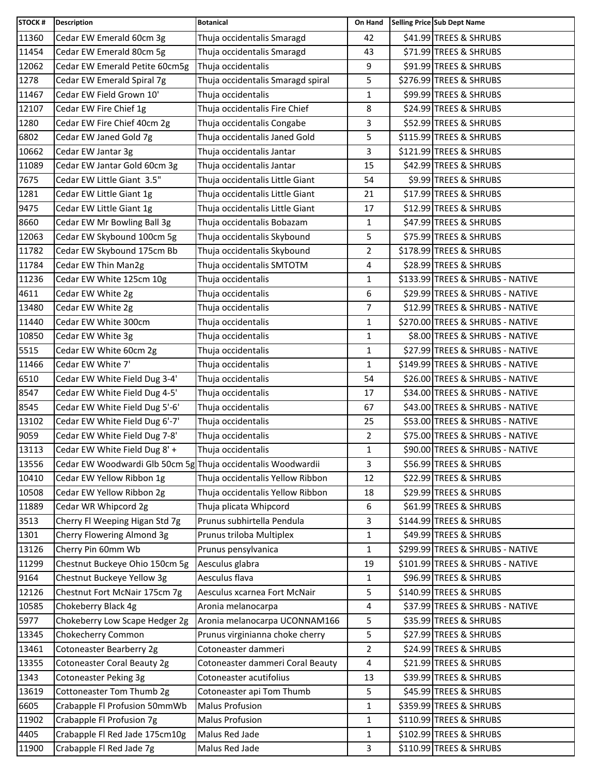| <b>STOCK#</b> | <b>Description</b>                                           | <b>Botanical</b>                  | On Hand        | Selling Price Sub Dept Name      |
|---------------|--------------------------------------------------------------|-----------------------------------|----------------|----------------------------------|
| 11360         | Cedar EW Emerald 60cm 3g                                     | Thuja occidentalis Smaragd        | 42             | \$41.99 TREES & SHRUBS           |
| 11454         | Cedar EW Emerald 80cm 5g                                     | Thuja occidentalis Smaragd        | 43             | \$71.99 TREES & SHRUBS           |
| 12062         | Cedar EW Emerald Petite 60cm5g                               | Thuja occidentalis                | 9              | \$91.99 TREES & SHRUBS           |
| 1278          | Cedar EW Emerald Spiral 7g                                   | Thuja occidentalis Smaragd spiral | 5              | \$276.99 TREES & SHRUBS          |
| 11467         | Cedar EW Field Grown 10'                                     | Thuja occidentalis                | $\mathbf{1}$   | \$99.99 TREES & SHRUBS           |
| 12107         | Cedar EW Fire Chief 1g                                       | Thuja occidentalis Fire Chief     | 8              | \$24.99 TREES & SHRUBS           |
| 1280          | Cedar EW Fire Chief 40cm 2g                                  | Thuja occidentalis Congabe        | 3              | \$52.99 TREES & SHRUBS           |
| 6802          | Cedar EW Janed Gold 7g                                       | Thuja occidentalis Janed Gold     | 5              | \$115.99 TREES & SHRUBS          |
| 10662         | Cedar EW Jantar 3g                                           | Thuja occidentalis Jantar         | 3              | \$121.99 TREES & SHRUBS          |
| 11089         | Cedar EW Jantar Gold 60cm 3g                                 | Thuja occidentalis Jantar         | 15             | \$42.99 TREES & SHRUBS           |
| 7675          | Cedar EW Little Giant 3.5"                                   | Thuja occidentalis Little Giant   | 54             | \$9.99 TREES & SHRUBS            |
| 1281          | Cedar EW Little Giant 1g                                     | Thuja occidentalis Little Giant   | 21             | \$17.99 TREES & SHRUBS           |
| 9475          | Cedar EW Little Giant 1g                                     | Thuja occidentalis Little Giant   | 17             | \$12.99 TREES & SHRUBS           |
| 8660          | Cedar EW Mr Bowling Ball 3g                                  | Thuja occidentalis Bobazam        | 1              | \$47.99 TREES & SHRUBS           |
| 12063         | Cedar EW Skybound 100cm 5g                                   | Thuja occidentalis Skybound       | 5              | \$75.99 TREES & SHRUBS           |
| 11782         | Cedar EW Skybound 175cm Bb                                   | Thuja occidentalis Skybound       | 2              | \$178.99 TREES & SHRUBS          |
| 11784         | Cedar EW Thin Man2g                                          | Thuja occidentalis SMTOTM         | 4              | \$28.99 TREES & SHRUBS           |
| 11236         | Cedar EW White 125cm 10g                                     | Thuja occidentalis                | $\mathbf{1}$   | \$133.99 TREES & SHRUBS - NATIVE |
| 4611          | Cedar EW White 2g                                            | Thuja occidentalis                | 6              | \$29.99 TREES & SHRUBS - NATIVE  |
| 13480         | Cedar EW White 2g                                            | Thuja occidentalis                | $\overline{7}$ | \$12.99 TREES & SHRUBS - NATIVE  |
| 11440         | Cedar EW White 300cm                                         | Thuja occidentalis                | 1              | \$270.00 TREES & SHRUBS - NATIVE |
| 10850         | Cedar EW White 3g                                            | Thuja occidentalis                | $\mathbf{1}$   | \$8.00 TREES & SHRUBS - NATIVE   |
| 5515          | Cedar EW White 60cm 2g                                       | Thuja occidentalis                | 1              | \$27.99 TREES & SHRUBS - NATIVE  |
| 11466         | Cedar EW White 7'                                            | Thuja occidentalis                | $\mathbf{1}$   | \$149.99 TREES & SHRUBS - NATIVE |
| 6510          | Cedar EW White Field Dug 3-4'                                | Thuja occidentalis                | 54             | \$26.00 TREES & SHRUBS - NATIVE  |
| 8547          | Cedar EW White Field Dug 4-5'                                | Thuja occidentalis                | 17             | \$34.00 TREES & SHRUBS - NATIVE  |
| 8545          | Cedar EW White Field Dug 5'-6'                               | Thuja occidentalis                | 67             | \$43.00 TREES & SHRUBS - NATIVE  |
| 13102         | Cedar EW White Field Dug 6'-7'                               | Thuja occidentalis                | 25             | \$53.00 TREES & SHRUBS - NATIVE  |
| 9059          | Cedar EW White Field Dug 7-8'                                | Thuja occidentalis                | $\overline{2}$ | \$75.00 TREES & SHRUBS - NATIVE  |
| 13113         | Cedar EW White Field Dug 8' +                                | Thuja occidentalis                | $\mathbf{1}$   | \$90.00 TREES & SHRUBS - NATIVE  |
| 13556         | Cedar EW Woodwardi Glb 50cm 5g Thuja occidentalis Woodwardii |                                   | 3              | \$56.99 TREES & SHRUBS           |
| 10410         | Cedar EW Yellow Ribbon 1g                                    | Thuja occidentalis Yellow Ribbon  | 12             | \$22.99 TREES & SHRUBS           |
| 10508         | Cedar EW Yellow Ribbon 2g                                    | Thuja occidentalis Yellow Ribbon  | 18             | \$29.99 TREES & SHRUBS           |
| 11889         | Cedar WR Whipcord 2g                                         | Thuja plicata Whipcord            | 6              | \$61.99 TREES & SHRUBS           |
| 3513          | Cherry Fl Weeping Higan Std 7g                               | Prunus subhirtella Pendula        | 3              | \$144.99 TREES & SHRUBS          |
| 1301          | Cherry Flowering Almond 3g                                   | Prunus triloba Multiplex          | 1              | \$49.99 TREES & SHRUBS           |
| 13126         | Cherry Pin 60mm Wb                                           | Prunus pensylvanica               | $\mathbf{1}$   | \$299.99 TREES & SHRUBS - NATIVE |
| 11299         | Chestnut Buckeye Ohio 150cm 5g                               | Aesculus glabra                   | 19             | \$101.99 TREES & SHRUBS - NATIVE |
| 9164          | Chestnut Buckeye Yellow 3g                                   | Aesculus flava                    | 1              | \$96.99 TREES & SHRUBS           |
| 12126         | Chestnut Fort McNair 175cm 7g                                | Aesculus xcarnea Fort McNair      | 5              | \$140.99 TREES & SHRUBS          |
| 10585         | Chokeberry Black 4g                                          | Aronia melanocarpa                | 4              | \$37.99 TREES & SHRUBS - NATIVE  |
| 5977          | Chokeberry Low Scape Hedger 2g                               | Aronia melanocarpa UCONNAM166     | 5              | \$35.99 TREES & SHRUBS           |
| 13345         | Chokecherry Common                                           | Prunus virginianna choke cherry   | 5              | \$27.99 TREES & SHRUBS           |
| 13461         | Cotoneaster Bearberry 2g                                     | Cotoneaster dammeri               | $\overline{2}$ | \$24.99 TREES & SHRUBS           |
| 13355         | Cotoneaster Coral Beauty 2g                                  | Cotoneaster dammeri Coral Beauty  | 4              | \$21.99 TREES & SHRUBS           |
| 1343          | <b>Cotoneaster Peking 3g</b>                                 | Cotoneaster acutifolius           | 13             | \$39.99 TREES & SHRUBS           |
| 13619         | Cottoneaster Tom Thumb 2g                                    | Cotoneaster api Tom Thumb         | 5              | \$45.99 TREES & SHRUBS           |
| 6605          | Crabapple FI Profusion 50mmWb                                | <b>Malus Profusion</b>            | $\mathbf{1}$   | \$359.99 TREES & SHRUBS          |
| 11902         | Crabapple Fl Profusion 7g                                    | <b>Malus Profusion</b>            | $\mathbf{1}$   | \$110.99 TREES & SHRUBS          |
| 4405          | Crabapple Fl Red Jade 175cm10g                               | Malus Red Jade                    | 1              | \$102.99 TREES & SHRUBS          |
| 11900         | Crabapple Fl Red Jade 7g                                     | Malus Red Jade                    | 3              | \$110.99 TREES & SHRUBS          |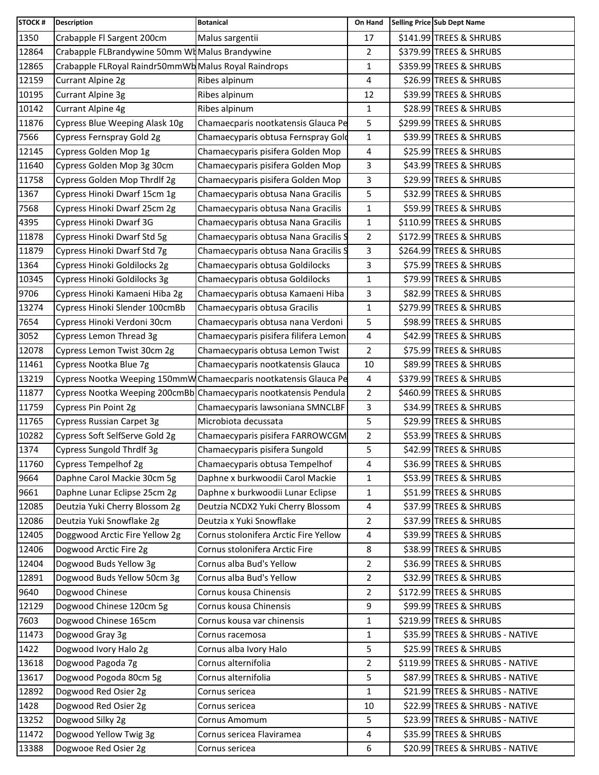| <b>STOCK#</b> | <b>Description</b>                                   | <b>Botanical</b>                                                  | On Hand        | Selling Price Sub Dept Name      |
|---------------|------------------------------------------------------|-------------------------------------------------------------------|----------------|----------------------------------|
| 1350          | Crabapple Fl Sargent 200cm                           | Malus sargentii                                                   | 17             | \$141.99 TREES & SHRUBS          |
| 12864         | Crabapple FLBrandywine 50mm WI Malus Brandywine      |                                                                   | $\overline{2}$ | \$379.99 TREES & SHRUBS          |
| 12865         | Crabapple FLRoyal Raindr50mmWb Malus Royal Raindrops |                                                                   | 1              | \$359.99 TREES & SHRUBS          |
| 12159         | Currant Alpine 2g                                    | Ribes alpinum                                                     | 4              | \$26.99 TREES & SHRUBS           |
| 10195         | <b>Currant Alpine 3g</b>                             | Ribes alpinum                                                     | 12             | \$39.99 TREES & SHRUBS           |
| 10142         | Currant Alpine 4g                                    | Ribes alpinum                                                     | 1              | \$28.99 TREES & SHRUBS           |
| 11876         | Cypress Blue Weeping Alask 10g                       | Chamaecparis nootkatensis Glauca Pe                               | 5              | \$299.99 TREES & SHRUBS          |
| 7566          | Cypress Fernspray Gold 2g                            | Chamaecyparis obtusa Fernspray Gold                               | $\mathbf{1}$   | \$39.99 TREES & SHRUBS           |
| 12145         | Cypress Golden Mop 1g                                | Chamaecyparis pisifera Golden Mop                                 | 4              | \$25.99 TREES & SHRUBS           |
| 11640         | Cypress Golden Mop 3g 30cm                           | Chamaecyparis pisifera Golden Mop                                 | 3              | \$43.99 TREES & SHRUBS           |
| 11758         | Cypress Golden Mop Thrdlf 2g                         | Chamaecyparis pisifera Golden Mop                                 | 3              | \$29.99 TREES & SHRUBS           |
| 1367          | Cypress Hinoki Dwarf 15cm 1g                         | Chamaecyparis obtusa Nana Gracilis                                | 5              | \$32.99 TREES & SHRUBS           |
| 7568          | Cypress Hinoki Dwarf 25cm 2g                         | Chamaecyparis obtusa Nana Gracilis                                | 1              | \$59.99 TREES & SHRUBS           |
| 4395          | Cypress Hinoki Dwarf 3G                              | Chamaecyparis obtusa Nana Gracilis                                | 1              | \$110.99 TREES & SHRUBS          |
| 11878         | Cypress Hinoki Dwarf Std 5g                          | Chamaecyparis obtusa Nana Gracilis S                              | $\overline{2}$ | \$172.99 TREES & SHRUBS          |
| 11879         | Cypress Hinoki Dwarf Std 7g                          | Chamaecyparis obtusa Nana Gracilis S                              | 3              | \$264.99 TREES & SHRUBS          |
| 1364          | Cypress Hinoki Goldilocks 2g                         | Chamaecyparis obtusa Goldilocks                                   | 3              | \$75.99 TREES & SHRUBS           |
| 10345         | Cypress Hinoki Goldilocks 3g                         | Chamaecyparis obtusa Goldilocks                                   | $\mathbf{1}$   | \$79.99 TREES & SHRUBS           |
| 9706          | Cypress Hinoki Kamaeni Hiba 2g                       | Chamaecyparis obtusa Kamaeni Hiba                                 | 3              | \$82.99 TREES & SHRUBS           |
| 13274         | Cypress Hinoki Slender 100cmBb                       | Chamaecyparis obtusa Gracilis                                     | 1              | \$279.99 TREES & SHRUBS          |
| 7654          | Cypress Hinoki Verdoni 30cm                          | Chamaecyparis obtusa nana Verdoni                                 | 5              | \$98.99 TREES & SHRUBS           |
| 3052          | Cypress Lemon Thread 3g                              | Chamaecyparis pisifera filifera Lemon                             | 4              | \$42.99 TREES & SHRUBS           |
| 12078         | Cypress Lemon Twist 30cm 2g                          | Chamaecyparis obtusa Lemon Twist                                  | $\overline{2}$ | \$75.99 TREES & SHRUBS           |
| 11461         | Cypress Nootka Blue 7g                               | Chamaecyparis nootkatensis Glauca                                 | 10             | \$89.99 TREES & SHRUBS           |
| 13219         |                                                      | Cypress Nootka Weeping 150mmW Chamaecparis nootkatensis Glauca Pe | 4              | \$379.99 TREES & SHRUBS          |
| 11877         |                                                      | Cypress Nootka Weeping 200cmBb Chamaecyparis nootkatensis Pendula | 2              | \$460.99 TREES & SHRUBS          |
| 11759         | Cypress Pin Point 2g                                 | Chamaecyparis lawsoniana SMNCLBF                                  | 3              | \$34.99 TREES & SHRUBS           |
| 11765         | Cypress Russian Carpet 3g                            | Microbiota decussata                                              | 5              | \$29.99 TREES & SHRUBS           |
| 10282         | Cypress Soft SelfServe Gold 2g                       | Chamaecyparis pisifera FARROWCGM                                  | $\overline{2}$ | \$53.99 TREES & SHRUBS           |
| 1374          | Cypress Sungold Thrdlf 3g                            | Chamaecyparis pisifera Sungold                                    | 5              | \$42.99 TREES & SHRUBS           |
| 11760         | Cypress Tempelhof 2g                                 | Chamaecyparis obtusa Tempelhof                                    | 4              | \$36.99 TREES & SHRUBS           |
| 9664          | Daphne Carol Mackie 30cm 5g                          | Daphne x burkwoodii Carol Mackie                                  | 1              | \$53.99 TREES & SHRUBS           |
| 9661          | Daphne Lunar Eclipse 25cm 2g                         | Daphne x burkwoodii Lunar Eclipse                                 | 1              | \$51.99 TREES & SHRUBS           |
| 12085         | Deutzia Yuki Cherry Blossom 2g                       | Deutzia NCDX2 Yuki Cherry Blossom                                 | 4              | \$37.99 TREES & SHRUBS           |
| 12086         | Deutzia Yuki Snowflake 2g                            | Deutzia x Yuki Snowflake                                          | $\overline{2}$ | \$37.99 TREES & SHRUBS           |
| 12405         | Doggwood Arctic Fire Yellow 2g                       | Cornus stolonifera Arctic Fire Yellow                             | 4              | \$39.99 TREES & SHRUBS           |
| 12406         | Dogwood Arctic Fire 2g                               | Cornus stolonifera Arctic Fire                                    | 8              | \$38.99 TREES & SHRUBS           |
| 12404         | Dogwood Buds Yellow 3g                               | Cornus alba Bud's Yellow                                          | 2              | \$36.99 TREES & SHRUBS           |
| 12891         | Dogwood Buds Yellow 50cm 3g                          | Cornus alba Bud's Yellow                                          | $\overline{2}$ | \$32.99 TREES & SHRUBS           |
| 9640          | Dogwood Chinese                                      | Cornus kousa Chinensis                                            | $\overline{2}$ | \$172.99 TREES & SHRUBS          |
| 12129         | Dogwood Chinese 120cm 5g                             | Cornus kousa Chinensis                                            | 9              | \$99.99 TREES & SHRUBS           |
| 7603          | Dogwood Chinese 165cm                                | Cornus kousa var chinensis                                        | $\mathbf{1}$   | \$219.99 TREES & SHRUBS          |
| 11473         | Dogwood Gray 3g                                      | Cornus racemosa                                                   | 1              | \$35.99 TREES & SHRUBS - NATIVE  |
| 1422          | Dogwood Ivory Halo 2g                                | Cornus alba Ivory Halo                                            | 5              | \$25.99 TREES & SHRUBS           |
| 13618         | Dogwood Pagoda 7g                                    | Cornus alternifolia                                               | 2              | \$119.99 TREES & SHRUBS - NATIVE |
| 13617         | Dogwood Pogoda 80cm 5g                               | Cornus alternifolia                                               | 5              | \$87.99 TREES & SHRUBS - NATIVE  |
| 12892         | Dogwood Red Osier 2g                                 | Cornus sericea                                                    | 1              | \$21.99 TREES & SHRUBS - NATIVE  |
| 1428          | Dogwood Red Osier 2g                                 | Cornus sericea                                                    | 10             | \$22.99 TREES & SHRUBS - NATIVE  |
| 13252         | Dogwood Silky 2g                                     | Cornus Amomum                                                     | 5              | \$23.99 TREES & SHRUBS - NATIVE  |
| 11472         | Dogwood Yellow Twig 3g                               | Cornus sericea Flaviramea                                         | 4              | \$35.99 TREES & SHRUBS           |
| 13388         | Dogwooe Red Osier 2g                                 | Cornus sericea                                                    | 6              | \$20.99 TREES & SHRUBS - NATIVE  |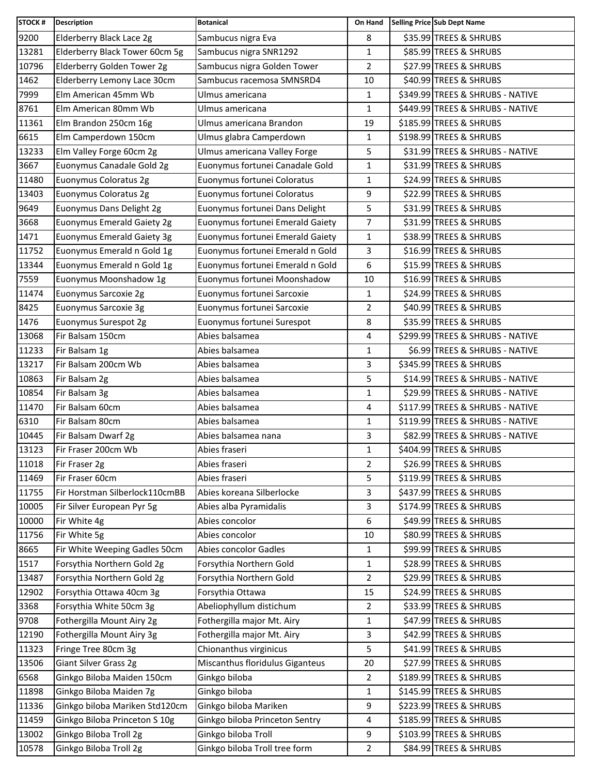| <b>STOCK#</b> | <b>Description</b>             | <b>Botanical</b>                 | On Hand        | Selling Price Sub Dept Name      |
|---------------|--------------------------------|----------------------------------|----------------|----------------------------------|
| 9200          | Elderberry Black Lace 2g       | Sambucus nigra Eva               | 8              | \$35.99 TREES & SHRUBS           |
| 13281         | Elderberry Black Tower 60cm 5g | Sambucus nigra SNR1292           | 1              | \$85.99 TREES & SHRUBS           |
| 10796         | Elderberry Golden Tower 2g     | Sambucus nigra Golden Tower      | $\overline{2}$ | \$27.99 TREES & SHRUBS           |
| 1462          | Elderberry Lemony Lace 30cm    | Sambucus racemosa SMNSRD4        | 10             | \$40.99 TREES & SHRUBS           |
| 7999          | Elm American 45mm Wb           | Ulmus americana                  | $\mathbf{1}$   | \$349.99 TREES & SHRUBS - NATIVE |
| 8761          | Elm American 80mm Wb           | Ulmus americana                  | $\mathbf{1}$   | \$449.99 TREES & SHRUBS - NATIVE |
| 11361         | Elm Brandon 250cm 16g          | Ulmus americana Brandon          | 19             | \$185.99 TREES & SHRUBS          |
| 6615          | Elm Camperdown 150cm           | Ulmus glabra Camperdown          | 1              | \$198.99 TREES & SHRUBS          |
| 13233         | Elm Valley Forge 60cm 2g       | Ulmus americana Valley Forge     | 5              | \$31.99 TREES & SHRUBS - NATIVE  |
| 3667          | Euonymus Canadale Gold 2g      | Euonymus fortunei Canadale Gold  | $\mathbf{1}$   | \$31.99 TREES & SHRUBS           |
| 11480         | Euonymus Coloratus 2g          | Euonymus fortunei Coloratus      | $\mathbf{1}$   | \$24.99 TREES & SHRUBS           |
| 13403         | Euonymus Coloratus 2g          | Euonymus fortunei Coloratus      | 9              | \$22.99 TREES & SHRUBS           |
| 9649          | Euonymus Dans Delight 2g       | Euonymus fortunei Dans Delight   | 5              | \$31.99 TREES & SHRUBS           |
| 3668          | Euonymus Emerald Gaiety 2g     | Euonymus fortunei Emerald Gaiety | 7              | \$31.99 TREES & SHRUBS           |
| 1471          | Euonymus Emerald Gaiety 3g     | Euonymus fortunei Emerald Gaiety | $\mathbf{1}$   | \$38.99 TREES & SHRUBS           |
| 11752         | Euonymus Emerald n Gold 1g     | Euonymus fortunei Emerald n Gold | 3              | \$16.99 TREES & SHRUBS           |
| 13344         | Euonymus Emerald n Gold 1g     | Euonymus fortunei Emerald n Gold | 6              | \$15.99 TREES & SHRUBS           |
| 7559          | Euonymus Moonshadow 1g         | Euonymus fortunei Moonshadow     | 10             | \$16.99 TREES & SHRUBS           |
| 11474         | Euonymus Sarcoxie 2g           | Euonymus fortunei Sarcoxie       | $\mathbf{1}$   | \$24.99 TREES & SHRUBS           |
| 8425          | Euonymus Sarcoxie 3g           | Euonymus fortunei Sarcoxie       | $\overline{2}$ | \$40.99 TREES & SHRUBS           |
| 1476          | Euonymus Surespot 2g           | Euonymus fortunei Surespot       | 8              | \$35.99 TREES & SHRUBS           |
| 13068         | Fir Balsam 150cm               | Abies balsamea                   | 4              | \$299.99 TREES & SHRUBS - NATIVE |
| 11233         | Fir Balsam 1g                  | Abies balsamea                   | $\mathbf{1}$   | \$6.99 TREES & SHRUBS - NATIVE   |
| 13217         | Fir Balsam 200cm Wb            | Abies balsamea                   | 3              | \$345.99 TREES & SHRUBS          |
| 10863         | Fir Balsam 2g                  | Abies balsamea                   | 5              | \$14.99 TREES & SHRUBS - NATIVE  |
| 10854         | Fir Balsam 3g                  | Abies balsamea                   | $\mathbf{1}$   | \$29.99 TREES & SHRUBS - NATIVE  |
| 11470         | Fir Balsam 60cm                | Abies balsamea                   | 4              | \$117.99 TREES & SHRUBS - NATIVE |
| 6310          | Fir Balsam 80cm                | Abies balsamea                   | $\mathbf{1}$   | \$119.99 TREES & SHRUBS - NATIVE |
| 10445         | Fir Balsam Dwarf 2g            | Abies balsamea nana              | 3              | \$82.99 TREES & SHRUBS - NATIVE  |
| 13123         | Fir Fraser 200cm Wb            | Abies fraseri                    | $\mathbf{1}$   | \$404.99 TREES & SHRUBS          |
| 11018         | Fir Fraser 2g                  | Abies fraseri                    | $\overline{2}$ | \$26.99 TREES & SHRUBS           |
| 11469         | Fir Fraser 60cm                | Abies fraseri                    | 5              | \$119.99 TREES & SHRUBS          |
| 11755         | Fir Horstman Silberlock110cmBB | Abies koreana Silberlocke        | 3              | \$437.99 TREES & SHRUBS          |
| 10005         | Fir Silver European Pyr 5g     | Abies alba Pyramidalis           | 3              | \$174.99 TREES & SHRUBS          |
| 10000         | Fir White 4g                   | Abies concolor                   | 6              | \$49.99 TREES & SHRUBS           |
| 11756         | Fir White 5g                   | Abies concolor                   | 10             | \$80.99 TREES & SHRUBS           |
| 8665          | Fir White Weeping Gadles 50cm  | Abies concolor Gadles            | 1              | \$99.99 TREES & SHRUBS           |
| 1517          | Forsythia Northern Gold 2g     | Forsythia Northern Gold          | 1              | \$28.99 TREES & SHRUBS           |
| 13487         | Forsythia Northern Gold 2g     | Forsythia Northern Gold          | $\overline{2}$ | \$29.99 TREES & SHRUBS           |
| 12902         | Forsythia Ottawa 40cm 3g       | Forsythia Ottawa                 | 15             | \$24.99 TREES & SHRUBS           |
| 3368          | Forsythia White 50cm 3g        | Abeliophyllum distichum          | $\overline{2}$ | \$33.99 TREES & SHRUBS           |
| 9708          | Fothergilla Mount Airy 2g      | Fothergilla major Mt. Airy       | 1              | \$47.99 TREES & SHRUBS           |
| 12190         | Fothergilla Mount Airy 3g      | Fothergilla major Mt. Airy       | 3              | \$42.99 TREES & SHRUBS           |
| 11323         | Fringe Tree 80cm 3g            | Chionanthus virginicus           | 5              | \$41.99 TREES & SHRUBS           |
| 13506         | Giant Silver Grass 2g          | Miscanthus floridulus Giganteus  | 20             | \$27.99 TREES & SHRUBS           |
| 6568          | Ginkgo Biloba Maiden 150cm     | Ginkgo biloba                    | $\overline{2}$ | \$189.99 TREES & SHRUBS          |
| 11898         | Ginkgo Biloba Maiden 7g        | Ginkgo biloba                    | $\mathbf{1}$   | \$145.99 TREES & SHRUBS          |
| 11336         | Ginkgo biloba Mariken Std120cm | Ginkgo biloba Mariken            | 9              | \$223.99 TREES & SHRUBS          |
| 11459         | Ginkgo Biloba Princeton S 10g  | Ginkgo biloba Princeton Sentry   | 4              | \$185.99 TREES & SHRUBS          |
| 13002         | Ginkgo Biloba Troll 2g         | Ginkgo biloba Troll              | 9              | \$103.99 TREES & SHRUBS          |
| 10578         | Ginkgo Biloba Troll 2g         | Ginkgo biloba Troll tree form    | $\overline{2}$ | \$84.99 TREES & SHRUBS           |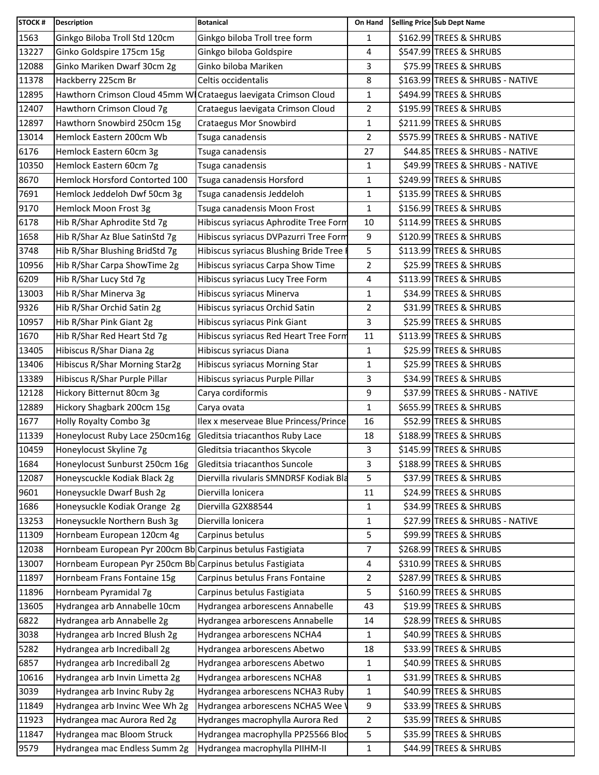| <b>STOCK#</b> | <b>Description</b>                                              | <b>Botanical</b>                       | On Hand        | Selling Price Sub Dept Name      |
|---------------|-----------------------------------------------------------------|----------------------------------------|----------------|----------------------------------|
| 1563          | Ginkgo Biloba Troll Std 120cm                                   | Ginkgo biloba Troll tree form          | 1              | \$162.99 TREES & SHRUBS          |
| 13227         | Ginko Goldspire 175cm 15g                                       | Ginkgo biloba Goldspire                | 4              | \$547.99 TREES & SHRUBS          |
| 12088         | Ginko Mariken Dwarf 30cm 2g                                     | Ginko biloba Mariken                   | 3              | \$75.99 TREES & SHRUBS           |
| 11378         | Hackberry 225cm Br                                              | Celtis occidentalis                    | 8              | \$163.99 TREES & SHRUBS - NATIVE |
| 12895         | Hawthorn Crimson Cloud 45mm W Crataegus laevigata Crimson Cloud |                                        | $\mathbf 1$    | \$494.99 TREES & SHRUBS          |
| 12407         | Hawthorn Crimson Cloud 7g                                       | Crataegus laevigata Crimson Cloud      | $\overline{2}$ | \$195.99 TREES & SHRUBS          |
| 12897         | Hawthorn Snowbird 250cm 15g                                     | <b>Crataegus Mor Snowbird</b>          | 1              | \$211.99 TREES & SHRUBS          |
| 13014         | Hemlock Eastern 200cm Wb                                        | Tsuga canadensis                       | $\overline{2}$ | \$575.99 TREES & SHRUBS - NATIVE |
| 6176          | Hemlock Eastern 60cm 3g                                         | Tsuga canadensis                       | 27             | \$44.85 TREES & SHRUBS - NATIVE  |
| 10350         | Hemlock Eastern 60cm 7g                                         | Tsuga canadensis                       | $\mathbf{1}$   | \$49.99 TREES & SHRUBS - NATIVE  |
| 8670          | Hemlock Horsford Contorted 100                                  | Tsuga canadensis Horsford              | $\mathbf{1}$   | \$249.99 TREES & SHRUBS          |
| 7691          | Hemlock Jeddeloh Dwf 50cm 3g                                    | Tsuga canadensis Jeddeloh              | $\mathbf 1$    | \$135.99 TREES & SHRUBS          |
| 9170          | Hemlock Moon Frost 3g                                           | Tsuga canadensis Moon Frost            | $\mathbf{1}$   | \$156.99 TREES & SHRUBS          |
| 6178          | Hib R/Shar Aphrodite Std 7g                                     | Hibiscus syriacus Aphrodite Tree Form  | 10             | \$114.99 TREES & SHRUBS          |
| 1658          | Hib R/Shar Az Blue SatinStd 7g                                  | Hibiscus syriacus DVPazurri Tree Form  | 9              | \$120.99 TREES & SHRUBS          |
| 3748          | Hib R/Shar Blushing BridStd 7g                                  | Hibiscus syriacus Blushing Bride Tree  | 5              | \$113.99 TREES & SHRUBS          |
| 10956         | Hib R/Shar Carpa ShowTime 2g                                    | Hibiscus syriacus Carpa Show Time      | $\overline{a}$ | \$25.99 TREES & SHRUBS           |
| 6209          | Hib R/Shar Lucy Std 7g                                          | Hibiscus syriacus Lucy Tree Form       | 4              | \$113.99 TREES & SHRUBS          |
| 13003         | Hib R/Shar Minerva 3g                                           | Hibiscus syriacus Minerva              | 1              | \$34.99 TREES & SHRUBS           |
| 9326          | Hib R/Shar Orchid Satin 2g                                      | Hibiscus syriacus Orchid Satin         | $\overline{2}$ | \$31.99 TREES & SHRUBS           |
| 10957         | Hib R/Shar Pink Giant 2g                                        | Hibiscus syriacus Pink Giant           | 3              | \$25.99 TREES & SHRUBS           |
| 1670          | Hib R/Shar Red Heart Std 7g                                     | Hibiscus syriacus Red Heart Tree Form  | 11             | \$113.99 TREES & SHRUBS          |
| 13405         | Hibiscus R/Shar Diana 2g                                        | Hibiscus syriacus Diana                | 1              | \$25.99 TREES & SHRUBS           |
| 13406         | Hibiscus R/Shar Morning Star2g                                  | Hibiscus syriacus Morning Star         | $\mathbf{1}$   | \$25.99 TREES & SHRUBS           |
| 13389         | Hibiscus R/Shar Purple Pillar                                   | Hibiscus syriacus Purple Pillar        | 3              | \$34.99 TREES & SHRUBS           |
| 12128         | Hickory Bitternut 80cm 3g                                       | Carya cordiformis                      | 9              | \$37.99 TREES & SHRUBS - NATIVE  |
| 12889         | Hickory Shagbark 200cm 15g                                      | Carya ovata                            | $\mathbf{1}$   | \$655.99 TREES & SHRUBS          |
| 1677          | Holly Royalty Combo 3g                                          | Ilex x meserveae Blue Princess/Prince  | 16             | \$52.99 TREES & SHRUBS           |
| 11339         | Honeylocust Ruby Lace 250cm16g                                  | Gleditsia triacanthos Ruby Lace        | 18             | \$188.99 TREES & SHRUBS          |
| 10459         | Honeylocust Skyline 7g                                          | Gleditsia triacanthos Skycole          | 3              | \$145.99 TREES & SHRUBS          |
| 1684          | Honeylocust Sunburst 250cm 16g                                  | Gleditsia triacanthos Suncole          | 3              | \$188.99 TREES & SHRUBS          |
| 12087         | Honeyscuckle Kodiak Black 2g                                    | Diervilla rivularis SMNDRSF Kodiak Bla | 5              | \$37.99 TREES & SHRUBS           |
| 9601          | Honeysuckle Dwarf Bush 2g                                       | Diervilla lonicera                     | 11             | \$24.99 TREES & SHRUBS           |
| 1686          | Honeysuckle Kodiak Orange 2g                                    | Diervilla G2X88544                     | $\mathbf{1}$   | \$34.99 TREES & SHRUBS           |
| 13253         | Honeysuckle Northern Bush 3g                                    | Diervilla lonicera                     | 1              | \$27.99 TREES & SHRUBS - NATIVE  |
| 11309         | Hornbeam European 120cm 4g                                      | Carpinus betulus                       | 5              | \$99.99 TREES & SHRUBS           |
| 12038         | Hornbeam European Pyr 200cm Bb Carpinus betulus Fastigiata      |                                        | 7              | \$268.99 TREES & SHRUBS          |
| 13007         | Hornbeam European Pyr 250cm Bb Carpinus betulus Fastigiata      |                                        | 4              | \$310.99 TREES & SHRUBS          |
| 11897         | Hornbeam Frans Fontaine 15g                                     | Carpinus betulus Frans Fontaine        | $\overline{2}$ | \$287.99 TREES & SHRUBS          |
| 11896         | Hornbeam Pyramidal 7g                                           | Carpinus betulus Fastigiata            | 5              | \$160.99 TREES & SHRUBS          |
| 13605         | Hydrangea arb Annabelle 10cm                                    | Hydrangea arborescens Annabelle        | 43             | \$19.99 TREES & SHRUBS           |
| 6822          | Hydrangea arb Annabelle 2g                                      | Hydrangea arborescens Annabelle        | 14             | \$28.99 TREES & SHRUBS           |
| 3038          | Hydrangea arb Incred Blush 2g                                   | Hydrangea arborescens NCHA4            | 1              | \$40.99 TREES & SHRUBS           |
| 5282          | Hydrangea arb Incrediball 2g                                    | Hydrangea arborescens Abetwo           | 18             | \$33.99 TREES & SHRUBS           |
| 6857          | Hydrangea arb Incrediball 2g                                    | Hydrangea arborescens Abetwo           | 1              | \$40.99 TREES & SHRUBS           |
| 10616         | Hydrangea arb Invin Limetta 2g                                  | Hydrangea arborescens NCHA8            | 1              | \$31.99 TREES & SHRUBS           |
| 3039          | Hydrangea arb Invinc Ruby 2g                                    | Hydrangea arborescens NCHA3 Ruby       | 1              | \$40.99 TREES & SHRUBS           |
| 11849         | Hydrangea arb Invinc Wee Wh 2g                                  | Hydrangea arborescens NCHA5 Wee \      | 9              | \$33.99 TREES & SHRUBS           |
| 11923         | Hydrangea mac Aurora Red 2g                                     | Hydranges macrophylla Aurora Red       | $\overline{2}$ | \$35.99 TREES & SHRUBS           |
| 11847         | Hydrangea mac Bloom Struck                                      | Hydrangea macrophylla PP25566 Blod     | 5              | \$35.99 TREES & SHRUBS           |
| 9579          | Hydrangea mac Endless Summ 2g                                   | Hydrangea macrophylla PIIHM-II         | $\mathbf{1}$   | \$44.99 TREES & SHRUBS           |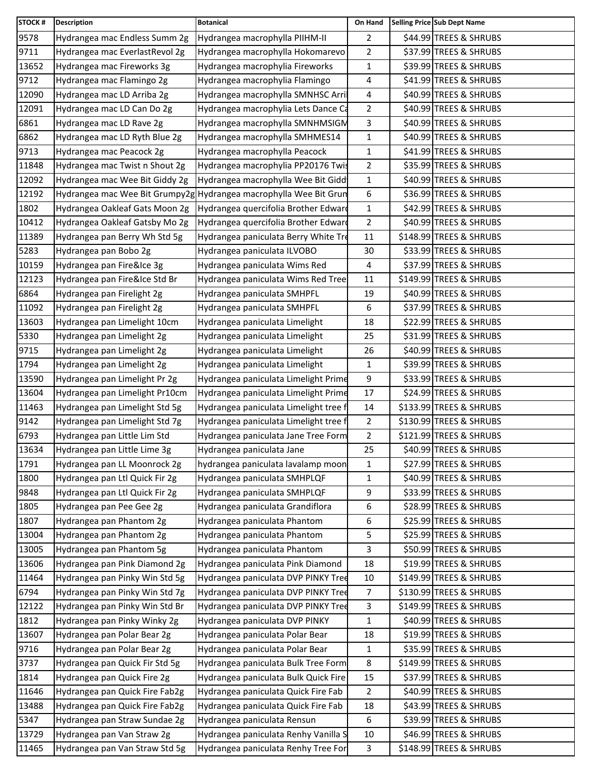| <b>STOCK#</b> | <b>Description</b>             | <b>Botanical</b>                                                  | On Hand        | Selling Price Sub Dept Name |
|---------------|--------------------------------|-------------------------------------------------------------------|----------------|-----------------------------|
| 9578          | Hydrangea mac Endless Summ 2g  | Hydrangea macrophylla PIIHM-II                                    | $\overline{2}$ | \$44.99 TREES & SHRUBS      |
| 9711          | Hydrangea mac EverlastRevol 2g | Hydrangea macrophylla Hokomarevo                                  | $\overline{2}$ | \$37.99 TREES & SHRUBS      |
| 13652         | Hydrangea mac Fireworks 3g     | Hydrangea macrophylia Fireworks                                   | $\mathbf{1}$   | \$39.99 TREES & SHRUBS      |
| 9712          | Hydrangea mac Flamingo 2g      | Hydrangea macrophylia Flamingo                                    | 4              | \$41.99 TREES & SHRUBS      |
| 12090         | Hydrangea mac LD Arriba 2g     | Hydrangea macrophylla SMNHSC Arri                                 | 4              | \$40.99 TREES & SHRUBS      |
| 12091         | Hydrangea mac LD Can Do 2g     | Hydrangea macrophylia Lets Dance Ca                               | $\overline{2}$ | \$40.99 TREES & SHRUBS      |
| 6861          | Hydrangea mac LD Rave 2g       | Hydrangea macrophylla SMNHMSIGM                                   | 3              | \$40.99 TREES & SHRUBS      |
| 6862          | Hydrangea mac LD Ryth Blue 2g  | Hydrangea macrophylla SMHMES14                                    | $\mathbf{1}$   | \$40.99 TREES & SHRUBS      |
| 9713          | Hydrangea mac Peacock 2g       | Hydrangea macrophylla Peacock                                     | 1              | \$41.99 TREES & SHRUBS      |
| 11848         | Hydrangea mac Twist n Shout 2g | Hydrangea macrophylia PP20176 Twis                                | $\overline{2}$ | \$35.99 TREES & SHRUBS      |
| 12092         | Hydrangea mac Wee Bit Giddy 2g | Hydrangea macrophylla Wee Bit Gidd                                | $\mathbf{1}$   | \$40.99 TREES & SHRUBS      |
| 12192         |                                | Hydrangea mac Wee Bit Grumpy2g Hydrangea macrophylla Wee Bit Grun | 6              | \$36.99 TREES & SHRUBS      |
| 1802          | Hydrangea Oakleaf Gats Moon 2g | Hydrangea quercifolia Brother Edward                              | $\mathbf{1}$   | \$42.99 TREES & SHRUBS      |
| 10412         | Hydrangea Oakleaf Gatsby Mo 2g | Hydrangea quercifolia Brother Edward                              | 2              | \$40.99 TREES & SHRUBS      |
| 11389         | Hydrangea pan Berry Wh Std 5g  | Hydrangea paniculata Berry White Tre                              | 11             | \$148.99 TREES & SHRUBS     |
| 5283          | Hydrangea pan Bobo 2g          | Hydrangea paniculata ILVOBO                                       | 30             | \$33.99 TREES & SHRUBS      |
| 10159         | Hydrangea pan Fire&Ice 3g      | Hydrangea paniculata Wims Red                                     | 4              | \$37.99 TREES & SHRUBS      |
| 12123         | Hydrangea pan Fire&Ice Std Br  | Hydrangea paniculata Wims Red Tree                                | 11             | \$149.99 TREES & SHRUBS     |
| 6864          | Hydrangea pan Firelight 2g     | Hydrangea paniculata SMHPFL                                       | 19             | \$40.99 TREES & SHRUBS      |
| 11092         | Hydrangea pan Firelight 2g     | Hydrangea paniculata SMHPFL                                       | 6              | \$37.99 TREES & SHRUBS      |
| 13603         | Hydrangea pan Limelight 10cm   | Hydrangea paniculata Limelight                                    | 18             | \$22.99 TREES & SHRUBS      |
| 5330          | Hydrangea pan Limelight 2g     | Hydrangea paniculata Limelight                                    | 25             | \$31.99 TREES & SHRUBS      |
| 9715          | Hydrangea pan Limelight 2g     | Hydrangea paniculata Limelight                                    | 26             | \$40.99 TREES & SHRUBS      |
| 1794          | Hydrangea pan Limelight 2g     | Hydrangea paniculata Limelight                                    | $\mathbf{1}$   | \$39.99 TREES & SHRUBS      |
| 13590         | Hydrangea pan Limelight Pr 2g  | Hydrangea paniculata Limelight Prime                              | 9              | \$33.99 TREES & SHRUBS      |
| 13604         | Hydrangea pan Limelight Pr10cm | Hydrangea paniculata Limelight Prime                              | 17             | \$24.99 TREES & SHRUBS      |
| 11463         | Hydrangea pan Limelight Std 5g | Hydrangea paniculata Limelight tree f                             | 14             | \$133.99 TREES & SHRUBS     |
| 9142          | Hydrangea pan Limelight Std 7g | Hydrangea paniculata Limelight tree f                             | 2              | \$130.99 TREES & SHRUBS     |
| 6793          | Hydrangea pan Little Lim Std   | Hydrangea paniculata Jane Tree Form                               | $\overline{2}$ | \$121.99 TREES & SHRUBS     |
| 13634         | Hydrangea pan Little Lime 3g   | Hydrangea paniculata Jane                                         | 25             | \$40.99 TREES & SHRUBS      |
| 1791          | Hydrangea pan LL Moonrock 2g   | hydrangea paniculata lavalamp moon                                | 1              | \$27.99 TREES & SHRUBS      |
| 1800          | Hydrangea pan Ltl Quick Fir 2g | Hydrangea paniculata SMHPLQF                                      | $\mathbf{1}$   | \$40.99 TREES & SHRUBS      |
| 9848          | Hydrangea pan Ltl Quick Fir 2g | Hydrangea paniculata SMHPLQF                                      | 9              | \$33.99 TREES & SHRUBS      |
| 1805          | Hydrangea pan Pee Gee 2g       | Hydrangea paniculata Grandiflora                                  | 6              | \$28.99 TREES & SHRUBS      |
| 1807          | Hydrangea pan Phantom 2g       | Hydrangea paniculata Phantom                                      | 6              | \$25.99 TREES & SHRUBS      |
| 13004         | Hydrangea pan Phantom 2g       | Hydrangea paniculata Phantom                                      | 5              | \$25.99 TREES & SHRUBS      |
| 13005         | Hydrangea pan Phantom 5g       | Hydrangea paniculata Phantom                                      | 3              | \$50.99 TREES & SHRUBS      |
| 13606         | Hydrangea pan Pink Diamond 2g  | Hydrangea paniculata Pink Diamond                                 | 18             | \$19.99 TREES & SHRUBS      |
| 11464         | Hydrangea pan Pinky Win Std 5g | Hydrangea paniculata DVP PINKY Tree                               | 10             | \$149.99 TREES & SHRUBS     |
| 6794          | Hydrangea pan Pinky Win Std 7g | Hydrangea paniculata DVP PINKY Tree                               | 7              | \$130.99 TREES & SHRUBS     |
| 12122         | Hydrangea pan Pinky Win Std Br | Hydrangea paniculata DVP PINKY Tree                               | 3              | \$149.99 TREES & SHRUBS     |
| 1812          | Hydrangea pan Pinky Winky 2g   | Hydrangea paniculata DVP PINKY                                    | 1              | \$40.99 TREES & SHRUBS      |
| 13607         | Hydrangea pan Polar Bear 2g    | Hydrangea paniculata Polar Bear                                   | 18             | \$19.99 TREES & SHRUBS      |
| 9716          | Hydrangea pan Polar Bear 2g    | Hydrangea paniculata Polar Bear                                   | $\mathbf{1}$   | \$35.99 TREES & SHRUBS      |
| 3737          | Hydrangea pan Quick Fir Std 5g | Hydrangea paniculata Bulk Tree Form                               | 8              | \$149.99 TREES & SHRUBS     |
| 1814          | Hydrangea pan Quick Fire 2g    | Hydrangea paniculata Bulk Quick Fire                              | 15             | \$37.99 TREES & SHRUBS      |
| 11646         | Hydrangea pan Quick Fire Fab2g | Hydrangea paniculata Quick Fire Fab                               | $\overline{2}$ | \$40.99 TREES & SHRUBS      |
| 13488         | Hydrangea pan Quick Fire Fab2g | Hydrangea paniculata Quick Fire Fab                               | 18             | \$43.99 TREES & SHRUBS      |
| 5347          | Hydrangea pan Straw Sundae 2g  | Hydrangea paniculata Rensun                                       | 6              | \$39.99 TREES & SHRUBS      |
| 13729         | Hydrangea pan Van Straw 2g     | Hydrangea paniculata Renhy Vanilla S                              | 10             | \$46.99 TREES & SHRUBS      |
| 11465         | Hydrangea pan Van Straw Std 5g | Hydrangea paniculata Renhy Tree For                               | 3              | \$148.99 TREES & SHRUBS     |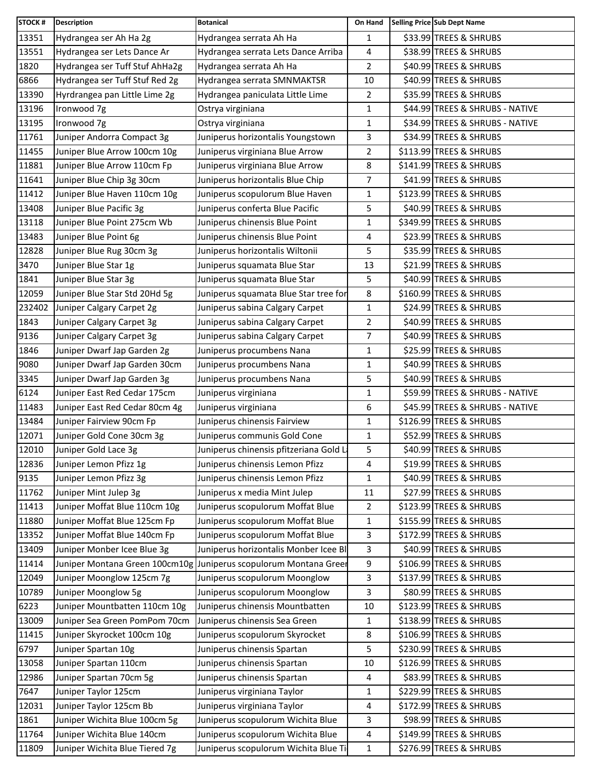| <b>STOCK#</b> | <b>Description</b>             | <b>Botanical</b>                                                  | On Hand        | Selling Price Sub Dept Name     |
|---------------|--------------------------------|-------------------------------------------------------------------|----------------|---------------------------------|
| 13351         | Hydrangea ser Ah Ha 2g         | Hydrangea serrata Ah Ha                                           | $\mathbf{1}$   | \$33.99 TREES & SHRUBS          |
| 13551         | Hydrangea ser Lets Dance Ar    | Hydrangea serrata Lets Dance Arriba                               | 4              | \$38.99 TREES & SHRUBS          |
| 1820          | Hydrangea ser Tuff Stuf AhHa2g | Hydrangea serrata Ah Ha                                           | $\overline{2}$ | \$40.99 TREES & SHRUBS          |
| 6866          | Hydrangea ser Tuff Stuf Red 2g | Hydrangea serrata SMNMAKTSR                                       | 10             | \$40.99 TREES & SHRUBS          |
| 13390         | Hyrdrangea pan Little Lime 2g  | Hydrangea paniculata Little Lime                                  | $\overline{2}$ | \$35.99 TREES & SHRUBS          |
| 13196         | Ironwood 7g                    | Ostrya virginiana                                                 | 1              | \$44.99 TREES & SHRUBS - NATIVE |
| 13195         | Ironwood 7g                    | Ostrya virginiana                                                 | 1              | \$34.99 TREES & SHRUBS - NATIVE |
| 11761         | Juniper Andorra Compact 3g     | Juniperus horizontalis Youngstown                                 | 3              | \$34.99 TREES & SHRUBS          |
| 11455         | Juniper Blue Arrow 100cm 10g   | Juniperus virginiana Blue Arrow                                   | $\overline{2}$ | \$113.99 TREES & SHRUBS         |
| 11881         | Juniper Blue Arrow 110cm Fp    | Juniperus virginiana Blue Arrow                                   | 8              | \$141.99 TREES & SHRUBS         |
| 11641         | Juniper Blue Chip 3g 30cm      | Juniperus horizontalis Blue Chip                                  | $\overline{7}$ | \$41.99 TREES & SHRUBS          |
| 11412         | Juniper Blue Haven 110cm 10g   | Juniperus scopulorum Blue Haven                                   | 1              | \$123.99 TREES & SHRUBS         |
| 13408         | Juniper Blue Pacific 3g        | Juniperus conferta Blue Pacific                                   | 5              | \$40.99 TREES & SHRUBS          |
| 13118         | Juniper Blue Point 275cm Wb    | Juniperus chinensis Blue Point                                    | 1              | \$349.99 TREES & SHRUBS         |
| 13483         | Juniper Blue Point 6g          | Juniperus chinensis Blue Point                                    | 4              | \$23.99 TREES & SHRUBS          |
| 12828         | Juniper Blue Rug 30cm 3g       | Juniperus horizontalis Wiltonii                                   | 5              | \$35.99 TREES & SHRUBS          |
| 3470          | Juniper Blue Star 1g           | Juniperus squamata Blue Star                                      | 13             | \$21.99 TREES & SHRUBS          |
| 1841          | Juniper Blue Star 3g           | Juniperus squamata Blue Star                                      | 5              | \$40.99 TREES & SHRUBS          |
| 12059         | Juniper Blue Star Std 20Hd 5g  | Juniperus squamata Blue Star tree for                             | 8              | \$160.99 TREES & SHRUBS         |
| 232402        | Juniper Calgary Carpet 2g      | Juniperus sabina Calgary Carpet                                   | $\mathbf{1}$   | \$24.99 TREES & SHRUBS          |
| 1843          | Juniper Calgary Carpet 3g      | Juniperus sabina Calgary Carpet                                   | $\overline{2}$ | \$40.99 TREES & SHRUBS          |
| 9136          | Juniper Calgary Carpet 3g      | Juniperus sabina Calgary Carpet                                   | $\overline{7}$ | \$40.99 TREES & SHRUBS          |
| 1846          | Juniper Dwarf Jap Garden 2g    | Juniperus procumbens Nana                                         | 1              | \$25.99 TREES & SHRUBS          |
| 9080          | Juniper Dwarf Jap Garden 30cm  | Juniperus procumbens Nana                                         | 1              | \$40.99 TREES & SHRUBS          |
| 3345          | Juniper Dwarf Jap Garden 3g    | Juniperus procumbens Nana                                         | 5              | \$40.99 TREES & SHRUBS          |
| 6124          | Juniper East Red Cedar 175cm   | Juniperus virginiana                                              | 1              | \$59.99 TREES & SHRUBS - NATIVE |
| 11483         | Juniper East Red Cedar 80cm 4g | Juniperus virginiana                                              | 6              | \$45.99 TREES & SHRUBS - NATIVE |
| 13484         | Juniper Fairview 90cm Fp       | Juniperus chinensis Fairview                                      | 1              | \$126.99 TREES & SHRUBS         |
| 12071         | Juniper Gold Cone 30cm 3g      | Juniperus communis Gold Cone                                      | $\mathbf{1}$   | \$52.99 TREES & SHRUBS          |
| 12010         | Juniper Gold Lace 3g           | Juniperus chinensis pfitzeriana Gold L                            | 5              | \$40.99 TREES & SHRUBS          |
| 12836         | Juniper Lemon Pfizz 1g         | Juniperus chinensis Lemon Pfizz                                   | 4              | \$19.99 TREES & SHRUBS          |
| 9135          | Juniper Lemon Pfizz 3g         | Juniperus chinensis Lemon Pfizz                                   | $\mathbf{1}$   | \$40.99 TREES & SHRUBS          |
| 11762         | Juniper Mint Julep 3g          | Juniperus x media Mint Julep                                      | 11             | \$27.99 TREES & SHRUBS          |
| 11413         | Juniper Moffat Blue 110cm 10g  | Juniperus scopulorum Moffat Blue                                  | $\overline{2}$ | \$123.99 TREES & SHRUBS         |
| 11880         | Juniper Moffat Blue 125cm Fp   | Juniperus scopulorum Moffat Blue                                  | 1              | \$155.99 TREES & SHRUBS         |
| 13352         | Juniper Moffat Blue 140cm Fp   | Juniperus scopulorum Moffat Blue                                  | 3              | \$172.99 TREES & SHRUBS         |
| 13409         | Juniper Monber Icee Blue 3g    | Juniperus horizontalis Monber Icee BI                             | 3              | \$40.99 TREES & SHRUBS          |
| 11414         |                                | Juniper Montana Green 100cm10g Juniperus scopulorum Montana Green | 9              | \$106.99 TREES & SHRUBS         |
| 12049         | Juniper Moonglow 125cm 7g      | Juniperus scopulorum Moonglow                                     | 3              | \$137.99 TREES & SHRUBS         |
| 10789         | Juniper Moonglow 5g            | Juniperus scopulorum Moonglow                                     | 3              | \$80.99 TREES & SHRUBS          |
| 6223          | Juniper Mountbatten 110cm 10g  | Juniperus chinensis Mountbatten                                   | 10             | \$123.99 TREES & SHRUBS         |
| 13009         | Juniper Sea Green PomPom 70cm  | Juniperus chinensis Sea Green                                     | 1              | \$138.99 TREES & SHRUBS         |
| 11415         | Juniper Skyrocket 100cm 10g    | Juniperus scopulorum Skyrocket                                    | 8              | \$106.99 TREES & SHRUBS         |
| 6797          | Juniper Spartan 10g            | Juniperus chinensis Spartan                                       | 5              | \$230.99 TREES & SHRUBS         |
| 13058         | Juniper Spartan 110cm          | Juniperus chinensis Spartan                                       | 10             | \$126.99 TREES & SHRUBS         |
| 12986         | Juniper Spartan 70cm 5g        | Juniperus chinensis Spartan                                       | 4              | \$83.99 TREES & SHRUBS          |
| 7647          | Juniper Taylor 125cm           | Juniperus virginiana Taylor                                       | 1              | \$229.99 TREES & SHRUBS         |
| 12031         | Juniper Taylor 125cm Bb        | Juniperus virginiana Taylor                                       | 4              | \$172.99 TREES & SHRUBS         |
| 1861          | Juniper Wichita Blue 100cm 5g  | Juniperus scopulorum Wichita Blue                                 | 3              | \$98.99 TREES & SHRUBS          |
| 11764         | Juniper Wichita Blue 140cm     | Juniperus scopulorum Wichita Blue                                 | 4              | \$149.99 TREES & SHRUBS         |
| 11809         | Juniper Wichita Blue Tiered 7g | Juniperus scopulorum Wichita Blue Ti                              | $\mathbf{1}$   | \$276.99 TREES & SHRUBS         |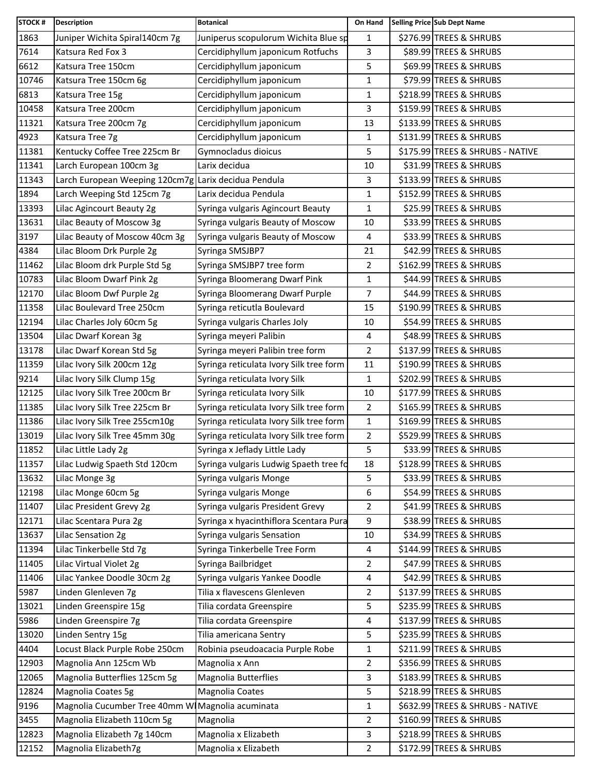| <b>STOCK#</b> | <b>Description</b>                                   | <b>Botanical</b>                        | On Hand        | Selling Price Sub Dept Name      |
|---------------|------------------------------------------------------|-----------------------------------------|----------------|----------------------------------|
| 1863          | Juniper Wichita Spiral140cm 7g                       | Juniperus scopulorum Wichita Blue sp    | $\mathbf{1}$   | \$276.99 TREES & SHRUBS          |
| 7614          | Katsura Red Fox 3                                    | Cercidiphyllum japonicum Rotfuchs       | 3              | \$89.99 TREES & SHRUBS           |
| 6612          | Katsura Tree 150cm                                   | Cercidiphyllum japonicum                | 5              | \$69.99 TREES & SHRUBS           |
| 10746         | Katsura Tree 150cm 6g                                | Cercidiphyllum japonicum                | 1              | \$79.99 TREES & SHRUBS           |
| 6813          | Katsura Tree 15g                                     | Cercidiphyllum japonicum                | $\mathbf{1}$   | \$218.99 TREES & SHRUBS          |
| 10458         | Katsura Tree 200cm                                   | Cercidiphyllum japonicum                | 3              | \$159.99 TREES & SHRUBS          |
| 11321         | Katsura Tree 200cm 7g                                | Cercidiphyllum japonicum                | 13             | \$133.99 TREES & SHRUBS          |
| 4923          | Katsura Tree 7g                                      | Cercidiphyllum japonicum                | 1              | \$131.99 TREES & SHRUBS          |
| 11381         | Kentucky Coffee Tree 225cm Br                        | Gymnocladus dioicus                     | 5              | \$175.99 TREES & SHRUBS - NATIVE |
| 11341         | Larch European 100cm 3g                              | Larix decidua                           | 10             | \$31.99 TREES & SHRUBS           |
| 11343         | Larch European Weeping 120cm7g Larix decidua Pendula |                                         | 3              | \$133.99 TREES & SHRUBS          |
| 1894          | Larch Weeping Std 125cm 7g                           | Larix decidua Pendula                   | 1              | \$152.99 TREES & SHRUBS          |
| 13393         | Lilac Agincourt Beauty 2g                            | Syringa vulgaris Agincourt Beauty       | $\mathbf{1}$   | \$25.99 TREES & SHRUBS           |
| 13631         | Lilac Beauty of Moscow 3g                            | Syringa vulgaris Beauty of Moscow       | 10             | \$33.99 TREES & SHRUBS           |
| 3197          | Lilac Beauty of Moscow 40cm 3g                       | Syringa vulgaris Beauty of Moscow       | 4              | \$33.99 TREES & SHRUBS           |
| 4384          | Lilac Bloom Drk Purple 2g                            | Syringa SMSJBP7                         | 21             | \$42.99 TREES & SHRUBS           |
| 11462         | Lilac Bloom drk Purple Std 5g                        | Syringa SMSJBP7 tree form               | $\overline{2}$ | \$162.99 TREES & SHRUBS          |
| 10783         | Lilac Bloom Dwarf Pink 2g                            | Syringa Bloomerang Dwarf Pink           | $\mathbf{1}$   | \$44.99 TREES & SHRUBS           |
| 12170         | Lilac Bloom Dwf Purple 2g                            | Syringa Bloomerang Dwarf Purple         | 7              | \$44.99 TREES & SHRUBS           |
| 11358         | Lilac Boulevard Tree 250cm                           | Syringa reticutla Boulevard             | 15             | \$190.99 TREES & SHRUBS          |
| 12194         | Lilac Charles Joly 60cm 5g                           | Syringa vulgaris Charles Joly           | 10             | \$54.99 TREES & SHRUBS           |
| 13504         | Lilac Dwarf Korean 3g                                | Syringa meyeri Palibin                  | 4              | \$48.99 TREES & SHRUBS           |
| 13178         | Lilac Dwarf Korean Std 5g                            | Syringa meyeri Palibin tree form        | $\overline{2}$ | \$137.99 TREES & SHRUBS          |
| 11359         | Lilac Ivory Silk 200cm 12g                           | Syringa reticulata Ivory Silk tree form | 11             | \$190.99 TREES & SHRUBS          |
| 9214          | Lilac Ivory Silk Clump 15g                           | Syringa reticulata Ivory Silk           | $\mathbf{1}$   | \$202.99 TREES & SHRUBS          |
| 12125         | Lilac Ivory Silk Tree 200cm Br                       | Syringa reticulata Ivory Silk           | 10             | \$177.99 TREES & SHRUBS          |
| 11385         | Lilac Ivory Silk Tree 225cm Br                       | Syringa reticulata Ivory Silk tree form | $\overline{2}$ | \$165.99 TREES & SHRUBS          |
| 11386         | Lilac Ivory Silk Tree 255cm10g                       | Syringa reticulata Ivory Silk tree form | 1              | \$169.99 TREES & SHRUBS          |
| 13019         | Lilac Ivory Silk Tree 45mm 30g                       | Syringa reticulata Ivory Silk tree form | $\overline{2}$ | \$529.99 TREES & SHRUBS          |
| 11852         | Lilac Little Lady 2g                                 | Syringa x Jeflady Little Lady           | 5              | \$33.99 TREES & SHRUBS           |
| 11357         | Lilac Ludwig Spaeth Std 120cm                        | Syringa vulgaris Ludwig Spaeth tree fd  | 18             | \$128.99 TREES & SHRUBS          |
| 13632         | Lilac Monge 3g                                       | Syringa vulgaris Monge                  | 5              | \$33.99 TREES & SHRUBS           |
| 12198         | Lilac Monge 60cm 5g                                  | Syringa vulgaris Monge                  | 6              | \$54.99 TREES & SHRUBS           |
| 11407         | Lilac President Grevy 2g                             | Syringa vulgaris President Grevy        | $\overline{2}$ | \$41.99 TREES & SHRUBS           |
| 12171         | Lilac Scentara Pura 2g                               | Syringa x hyacinthiflora Scentara Pura  | 9              | \$38.99 TREES & SHRUBS           |
| 13637         | Lilac Sensation 2g                                   | Syringa vulgaris Sensation              | 10             | \$34.99 TREES & SHRUBS           |
| 11394         | Lilac Tinkerbelle Std 7g                             | Syringa Tinkerbelle Tree Form           | 4              | \$144.99 TREES & SHRUBS          |
| 11405         | Lilac Virtual Violet 2g                              | Syringa Bailbridget                     | 2              | \$47.99 TREES & SHRUBS           |
| 11406         | Lilac Yankee Doodle 30cm 2g                          | Syringa vulgaris Yankee Doodle          | 4              | \$42.99 TREES & SHRUBS           |
| 5987          | Linden Glenleven 7g                                  | Tilia x flavescens Glenleven            | 2              | \$137.99 TREES & SHRUBS          |
| 13021         | Linden Greenspire 15g                                | Tilia cordata Greenspire                | 5              | \$235.99 TREES & SHRUBS          |
| 5986          | Linden Greenspire 7g                                 | Tilia cordata Greenspire                | 4              | \$137.99 TREES & SHRUBS          |
| 13020         | Linden Sentry 15g                                    | Tilia americana Sentry                  | 5              | \$235.99 TREES & SHRUBS          |
| 4404          | Locust Black Purple Robe 250cm                       | Robinia pseudoacacia Purple Robe        | $\mathbf{1}$   | \$211.99 TREES & SHRUBS          |
| 12903         | Magnolia Ann 125cm Wb                                | Magnolia x Ann                          | 2              | \$356.99 TREES & SHRUBS          |
| 12065         | Magnolia Butterflies 125cm 5g                        | <b>Magnolia Butterflies</b>             | 3              | \$183.99 TREES & SHRUBS          |
| 12824         | Magnolia Coates 5g                                   | Magnolia Coates                         | 5              | \$218.99 TREES & SHRUBS          |
| 9196          | Magnolia Cucumber Tree 40mm W Magnolia acuminata     |                                         | $\mathbf{1}$   | \$632.99 TREES & SHRUBS - NATIVE |
| 3455          | Magnolia Elizabeth 110cm 5g                          | Magnolia                                | $\overline{2}$ | \$160.99 TREES & SHRUBS          |
| 12823         | Magnolia Elizabeth 7g 140cm                          | Magnolia x Elizabeth                    | 3              | \$218.99 TREES & SHRUBS          |
| 12152         | Magnolia Elizabeth7g                                 | Magnolia x Elizabeth                    | $\overline{2}$ | \$172.99 TREES & SHRUBS          |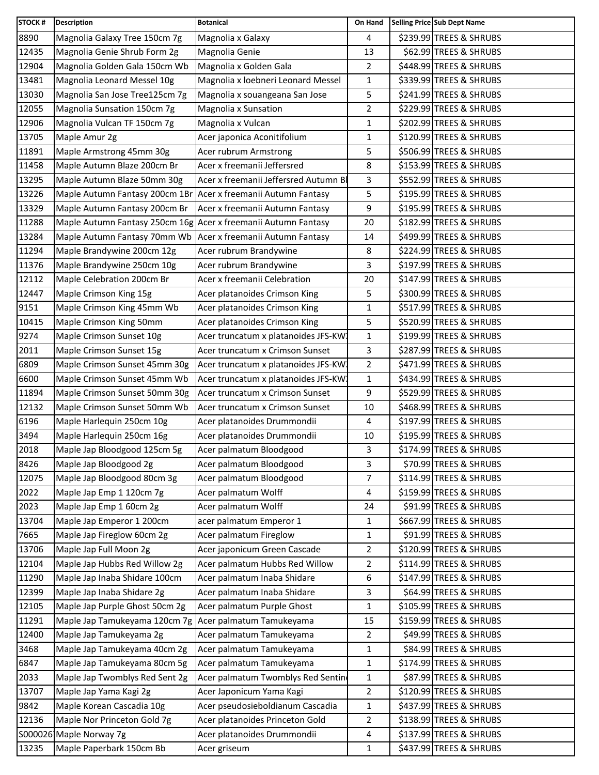| <b>STOCK#</b> | <b>Description</b>                                             | <b>Botanical</b>                     | On Hand        | Selling Price Sub Dept Name |
|---------------|----------------------------------------------------------------|--------------------------------------|----------------|-----------------------------|
| 8890          | Magnolia Galaxy Tree 150cm 7g                                  | Magnolia x Galaxy                    | 4              | \$239.99 TREES & SHRUBS     |
| 12435         | Magnolia Genie Shrub Form 2g                                   | Magnolia Genie                       | 13             | \$62.99 TREES & SHRUBS      |
| 12904         | Magnolia Golden Gala 150cm Wb                                  | Magnolia x Golden Gala               | $\overline{2}$ | \$448.99 TREES & SHRUBS     |
| 13481         | Magnolia Leonard Messel 10g                                    | Magnolia x loebneri Leonard Messel   | $\mathbf{1}$   | \$339.99 TREES & SHRUBS     |
| 13030         | Magnolia San Jose Tree125cm 7g                                 | Magnolia x souangeana San Jose       | 5              | \$241.99 TREES & SHRUBS     |
| 12055         | Magnolia Sunsation 150cm 7g                                    | Magnolia x Sunsation                 | $\overline{2}$ | \$229.99 TREES & SHRUBS     |
| 12906         | Magnolia Vulcan TF 150cm 7g                                    | Magnolia x Vulcan                    | 1              | \$202.99 TREES & SHRUBS     |
| 13705         | Maple Amur 2g                                                  | Acer japonica Aconitifolium          | 1              | \$120.99 TREES & SHRUBS     |
| 11891         | Maple Armstrong 45mm 30g                                       | Acer rubrum Armstrong                | 5              | \$506.99 TREES & SHRUBS     |
| 11458         | Maple Autumn Blaze 200cm Br                                    | Acer x freemanii Jeffersred          | 8              | \$153.99 TREES & SHRUBS     |
| 13295         | Maple Autumn Blaze 50mm 30g                                    | Acer x freemanii Jeffersred Autumn B | 3              | \$552.99 TREES & SHRUBS     |
| 13226         | Maple Autumn Fantasy 200cm 1Br Acer x freemanii Autumn Fantasy |                                      | 5              | \$195.99 TREES & SHRUBS     |
| 13329         | Maple Autumn Fantasy 200cm Br                                  | Acer x freemanii Autumn Fantasy      | 9              | \$195.99 TREES & SHRUBS     |
| 11288         | Maple Autumn Fantasy 250cm 16g Acer x freemanii Autumn Fantasy |                                      | 20             | \$182.99 TREES & SHRUBS     |
| 13284         | Maple Autumn Fantasy 70mm Wb Acer x freemanii Autumn Fantasy   |                                      | 14             | \$499.99 TREES & SHRUBS     |
| 11294         | Maple Brandywine 200cm 12g                                     | Acer rubrum Brandywine               | 8              | \$224.99 TREES & SHRUBS     |
| 11376         | Maple Brandywine 250cm 10g                                     | Acer rubrum Brandywine               | 3              | \$197.99 TREES & SHRUBS     |
| 12112         | Maple Celebration 200cm Br                                     | Acer x freemanii Celebration         | 20             | \$147.99 TREES & SHRUBS     |
| 12447         | Maple Crimson King 15g                                         | Acer platanoides Crimson King        | 5              | \$300.99 TREES & SHRUBS     |
| 9151          | Maple Crimson King 45mm Wb                                     | Acer platanoides Crimson King        | 1              | \$517.99 TREES & SHRUBS     |
| 10415         | Maple Crimson King 50mm                                        | Acer platanoides Crimson King        | 5              | \$520.99 TREES & SHRUBS     |
| 9274          | Maple Crimson Sunset 10g                                       | Acer truncatum x platanoides JFS-KW  | $\mathbf{1}$   | \$199.99 TREES & SHRUBS     |
| 2011          | Maple Crimson Sunset 15g                                       | Acer truncatum x Crimson Sunset      | 3              | \$287.99 TREES & SHRUBS     |
| 6809          | Maple Crimson Sunset 45mm 30g                                  | Acer truncatum x platanoides JFS-KW  | $\overline{2}$ | \$471.99 TREES & SHRUBS     |
| 6600          | Maple Crimson Sunset 45mm Wb                                   | Acer truncatum x platanoides JFS-KW  | $\mathbf{1}$   | \$434.99 TREES & SHRUBS     |
| 11894         | Maple Crimson Sunset 50mm 30g                                  | Acer truncatum x Crimson Sunset      | 9              | \$529.99 TREES & SHRUBS     |
| 12132         | Maple Crimson Sunset 50mm Wb                                   | Acer truncatum x Crimson Sunset      | 10             | \$468.99 TREES & SHRUBS     |
| 6196          | Maple Harlequin 250cm 10g                                      | Acer platanoides Drummondii          | 4              | \$197.99 TREES & SHRUBS     |
| 3494          | Maple Harlequin 250cm 16g                                      | Acer platanoides Drummondii          | 10             | \$195.99 TREES & SHRUBS     |
| 2018          | Maple Jap Bloodgood 125cm 5g                                   | Acer palmatum Bloodgood              | 3              | \$174.99 TREES & SHRUBS     |
| 8426          | Maple Jap Bloodgood 2g                                         | Acer palmatum Bloodgood              | 3              | \$70.99 TREES & SHRUBS      |
| 12075         | Maple Jap Bloodgood 80cm 3g                                    | Acer palmatum Bloodgood              | 7              | \$114.99 TREES & SHRUBS     |
| 2022          | Maple Jap Emp 1 120cm 7g                                       | Acer palmatum Wolff                  | 4              | \$159.99 TREES & SHRUBS     |
| 2023          | Maple Jap Emp 1 60cm 2g                                        | Acer palmatum Wolff                  | 24             | \$91.99 TREES & SHRUBS      |
| 13704         | Maple Jap Emperor 1 200cm                                      | acer palmatum Emperor 1              | 1              | \$667.99 TREES & SHRUBS     |
| 7665          | Maple Jap Fireglow 60cm 2g                                     | Acer palmatum Fireglow               | 1              | \$91.99 TREES & SHRUBS      |
| 13706         | Maple Jap Full Moon 2g                                         | Acer japonicum Green Cascade         | 2              | \$120.99 TREES & SHRUBS     |
| 12104         | Maple Jap Hubbs Red Willow 2g                                  | Acer palmatum Hubbs Red Willow       | 2              | \$114.99 TREES & SHRUBS     |
| 11290         | Maple Jap Inaba Shidare 100cm                                  | Acer palmatum Inaba Shidare          | 6              | \$147.99 TREES & SHRUBS     |
| 12399         | Maple Jap Inaba Shidare 2g                                     | Acer palmatum Inaba Shidare          | 3              | \$64.99 TREES & SHRUBS      |
| 12105         | Maple Jap Purple Ghost 50cm 2g                                 | Acer palmatum Purple Ghost           | $\mathbf{1}$   | \$105.99 TREES & SHRUBS     |
| 11291         | Maple Jap Tamukeyama 120cm 7g Acer palmatum Tamukeyama         |                                      | 15             | \$159.99 TREES & SHRUBS     |
| 12400         | Maple Jap Tamukeyama 2g                                        | Acer palmatum Tamukeyama             | $\overline{2}$ | \$49.99 TREES & SHRUBS      |
| 3468          | Maple Jap Tamukeyama 40cm 2g                                   | Acer palmatum Tamukeyama             | 1              | \$84.99 TREES & SHRUBS      |
| 6847          | Maple Jap Tamukeyama 80cm 5g                                   | Acer palmatum Tamukeyama             | 1              | \$174.99 TREES & SHRUBS     |
| 2033          | Maple Jap Twomblys Red Sent 2g                                 | Acer palmatum Twomblys Red Sentin    | 1              | \$87.99 TREES & SHRUBS      |
| 13707         | Maple Jap Yama Kagi 2g                                         | Acer Japonicum Yama Kagi             | $\overline{2}$ | \$120.99 TREES & SHRUBS     |
| 9842          | Maple Korean Cascadia 10g                                      | Acer pseudosieboldianum Cascadia     | $\mathbf{1}$   | \$437.99 TREES & SHRUBS     |
| 12136         | Maple Nor Princeton Gold 7g                                    | Acer platanoides Princeton Gold      | $\overline{c}$ | \$138.99 TREES & SHRUBS     |
|               | S000026 Maple Norway 7g                                        | Acer platanoides Drummondii          | 4              | \$137.99 TREES & SHRUBS     |
| 13235         | Maple Paperbark 150cm Bb                                       | Acer griseum                         | 1              | \$437.99 TREES & SHRUBS     |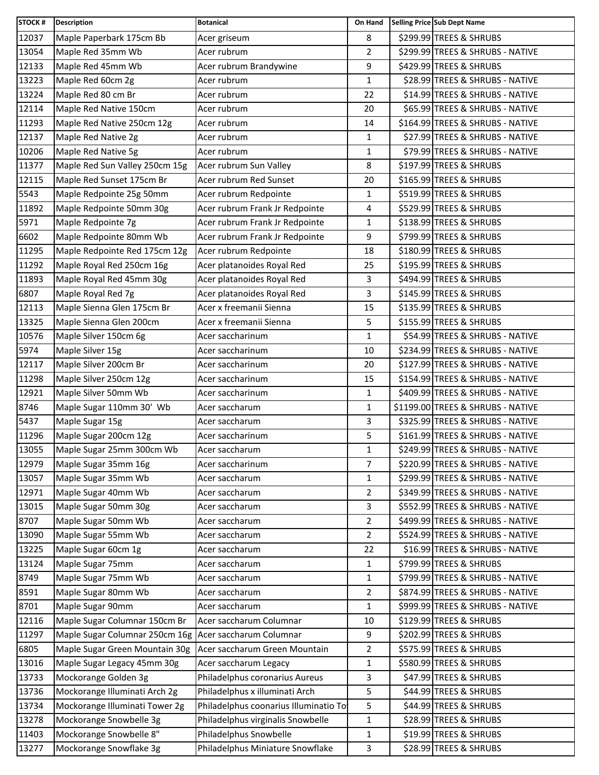| <b>STOCK#</b> | <b>Description</b>                                     | <b>Botanical</b>                      | On Hand        | Selling Price Sub Dept Name       |
|---------------|--------------------------------------------------------|---------------------------------------|----------------|-----------------------------------|
| 12037         | Maple Paperbark 175cm Bb                               | Acer griseum                          | 8              | \$299.99 TREES & SHRUBS           |
| 13054         | Maple Red 35mm Wb                                      | Acer rubrum                           | $\overline{2}$ | \$299.99 TREES & SHRUBS - NATIVE  |
| 12133         | Maple Red 45mm Wb                                      | Acer rubrum Brandywine                | 9              | \$429.99 TREES & SHRUBS           |
| 13223         | Maple Red 60cm 2g                                      | Acer rubrum                           | 1              | \$28.99 TREES & SHRUBS - NATIVE   |
| 13224         | Maple Red 80 cm Br                                     | Acer rubrum                           | 22             | \$14.99 TREES & SHRUBS - NATIVE   |
| 12114         | Maple Red Native 150cm                                 | Acer rubrum                           | 20             | \$65.99 TREES & SHRUBS - NATIVE   |
| 11293         | Maple Red Native 250cm 12g                             | Acer rubrum                           | 14             | \$164.99 TREES & SHRUBS - NATIVE  |
| 12137         | Maple Red Native 2g                                    | Acer rubrum                           | 1              | \$27.99 TREES & SHRUBS - NATIVE   |
| 10206         | Maple Red Native 5g                                    | Acer rubrum                           | 1              | \$79.99 TREES & SHRUBS - NATIVE   |
| 11377         | Maple Red Sun Valley 250cm 15g                         | Acer rubrum Sun Valley                | 8              | \$197.99 TREES & SHRUBS           |
| 12115         | Maple Red Sunset 175cm Br                              | Acer rubrum Red Sunset                | 20             | \$165.99 TREES & SHRUBS           |
| 5543          | Maple Redpointe 25g 50mm                               | Acer rubrum Redpointe                 | 1              | \$519.99 TREES & SHRUBS           |
| 11892         | Maple Redpointe 50mm 30g                               | Acer rubrum Frank Jr Redpointe        | 4              | \$529.99 TREES & SHRUBS           |
| 5971          | Maple Redpointe 7g                                     | Acer rubrum Frank Jr Redpointe        | 1              | \$138.99 TREES & SHRUBS           |
| 6602          | Maple Redpointe 80mm Wb                                | Acer rubrum Frank Jr Redpointe        | 9              | \$799.99 TREES & SHRUBS           |
| 11295         | Maple Redpointe Red 175cm 12g                          | Acer rubrum Redpointe                 | 18             | \$180.99 TREES & SHRUBS           |
| 11292         | Maple Royal Red 250cm 16g                              | Acer platanoides Royal Red            | 25             | \$195.99 TREES & SHRUBS           |
| 11893         | Maple Royal Red 45mm 30g                               | Acer platanoides Royal Red            | 3              | \$494.99 TREES & SHRUBS           |
| 6807          | Maple Royal Red 7g                                     | Acer platanoides Royal Red            | 3              | \$145.99 TREES & SHRUBS           |
| 12113         | Maple Sienna Glen 175cm Br                             | Acer x freemanii Sienna               | 15             | \$135.99 TREES & SHRUBS           |
| 13325         | Maple Sienna Glen 200cm                                | Acer x freemanii Sienna               | 5              | \$155.99 TREES & SHRUBS           |
| 10576         | Maple Silver 150cm 6g                                  | Acer saccharinum                      | 1              | \$54.99 TREES & SHRUBS - NATIVE   |
| 5974          | Maple Silver 15g                                       | Acer saccharinum                      | 10             | \$234.99 TREES & SHRUBS - NATIVE  |
| 12117         | Maple Silver 200cm Br                                  | Acer saccharinum                      | 20             | \$127.99 TREES & SHRUBS - NATIVE  |
| 11298         | Maple Silver 250cm 12g                                 | Acer saccharinum                      | 15             | \$154.99 TREES & SHRUBS - NATIVE  |
| 12921         | Maple Silver 50mm Wb                                   | Acer saccharinum                      | 1              | \$409.99 TREES & SHRUBS - NATIVE  |
| 8746          | Maple Sugar 110mm 30' Wb                               | Acer saccharum                        | $\mathbf{1}$   | \$1199.00 TREES & SHRUBS - NATIVE |
| 5437          | Maple Sugar 15g                                        | Acer saccharum                        | 3              | \$325.99 TREES & SHRUBS - NATIVE  |
| 11296         | Maple Sugar 200cm 12g                                  | Acer saccharinum                      | 5              | \$161.99 TREES & SHRUBS - NATIVE  |
| 13055         | Maple Sugar 25mm 300cm Wb                              | Acer saccharum                        | 1              | \$249.99 TREES & SHRUBS - NATIVE  |
| 12979         | Maple Sugar 35mm 16g                                   | Acer saccharinum                      | 7              | \$220.99 TREES & SHRUBS - NATIVE  |
| 13057         | Maple Sugar 35mm Wb                                    | Acer saccharum                        | 1              | \$299.99 TREES & SHRUBS - NATIVE  |
| 12971         | Maple Sugar 40mm Wb                                    | Acer saccharum                        | 2              | \$349.99 TREES & SHRUBS - NATIVE  |
| 13015         | Maple Sugar 50mm 30g                                   | Acer saccharum                        | 3              | \$552.99 TREES & SHRUBS - NATIVE  |
| 8707          | Maple Sugar 50mm Wb                                    | Acer saccharum                        | 2              | \$499.99 TREES & SHRUBS - NATIVE  |
| 13090         | Maple Sugar 55mm Wb                                    | Acer saccharum                        | 2              | \$524.99 TREES & SHRUBS - NATIVE  |
| 13225         | Maple Sugar 60cm 1g                                    | Acer saccharum                        | 22             | \$16.99 TREES & SHRUBS - NATIVE   |
| 13124         | Maple Sugar 75mm                                       | Acer saccharum                        | 1              | \$799.99 TREES & SHRUBS           |
| 8749          | Maple Sugar 75mm Wb                                    | Acer saccharum                        | 1              | \$799.99 TREES & SHRUBS - NATIVE  |
| 8591          | Maple Sugar 80mm Wb                                    | Acer saccharum                        | 2              | \$874.99 TREES & SHRUBS - NATIVE  |
| 8701          | Maple Sugar 90mm                                       | Acer saccharum                        | $\mathbf{1}$   | \$999.99 TREES & SHRUBS - NATIVE  |
| 12116         | Maple Sugar Columnar 150cm Br                          | Acer saccharum Columnar               | 10             | \$129.99 TREES & SHRUBS           |
| 11297         | Maple Sugar Columnar 250cm 16g Acer saccharum Columnar |                                       | 9              | \$202.99 TREES & SHRUBS           |
| 6805          | Maple Sugar Green Mountain 30g                         | Acer saccharum Green Mountain         | $\overline{2}$ | \$575.99 TREES & SHRUBS           |
| 13016         | Maple Sugar Legacy 45mm 30g                            | Acer saccharum Legacy                 | 1              | \$580.99 TREES & SHRUBS           |
| 13733         | Mockorange Golden 3g                                   | Philadelphus coronarius Aureus        | 3              | \$47.99 TREES & SHRUBS            |
| 13736         | Mockorange Illuminati Arch 2g                          | Philadelphus x illuminati Arch        | 5              | \$44.99 TREES & SHRUBS            |
| 13734         | Mockorange Illuminati Tower 2g                         | Philadelphus coonarius Illuminatio To | 5              | \$44.99 TREES & SHRUBS            |
| 13278         | Mockorange Snowbelle 3g                                | Philadelphus virginalis Snowbelle     | 1              | \$28.99 TREES & SHRUBS            |
| 11403         | Mockorange Snowbelle 8"                                | Philadelphus Snowbelle                | 1              | \$19.99 TREES & SHRUBS            |
| 13277         | Mockorange Snowflake 3g                                | Philadelphus Miniature Snowflake      | 3              | \$28.99 TREES & SHRUBS            |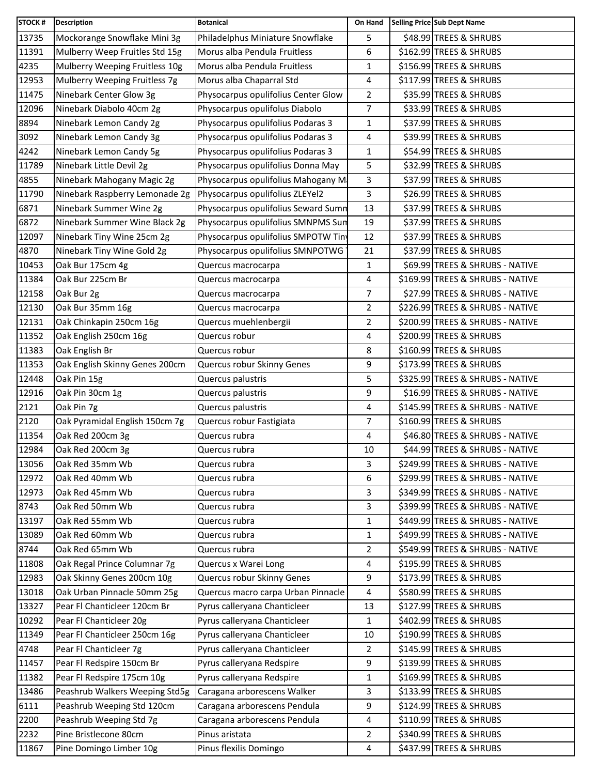| <b>STOCK#</b> | <b>Description</b>             | <b>Botanical</b>                    | On Hand        | Selling Price Sub Dept Name      |
|---------------|--------------------------------|-------------------------------------|----------------|----------------------------------|
| 13735         | Mockorange Snowflake Mini 3g   | Philadelphus Miniature Snowflake    | 5              | \$48.99 TREES & SHRUBS           |
| 11391         | Mulberry Weep Fruitles Std 15g | Morus alba Pendula Fruitless        | 6              | \$162.99 TREES & SHRUBS          |
| 4235          | Mulberry Weeping Fruitless 10g | Morus alba Pendula Fruitless        | $\mathbf{1}$   | \$156.99 TREES & SHRUBS          |
| 12953         | Mulberry Weeping Fruitless 7g  | Morus alba Chaparral Std            | 4              | \$117.99 TREES & SHRUBS          |
| 11475         | Ninebark Center Glow 3g        | Physocarpus opulifolius Center Glow | $\overline{2}$ | \$35.99 TREES & SHRUBS           |
| 12096         | Ninebark Diabolo 40cm 2g       | Physocarpus opulifolus Diabolo      | $\overline{7}$ | \$33.99 TREES & SHRUBS           |
| 8894          | Ninebark Lemon Candy 2g        | Physocarpus opulifolius Podaras 3   | 1              | \$37.99 TREES & SHRUBS           |
| 3092          | Ninebark Lemon Candy 3g        | Physocarpus opulifolius Podaras 3   | 4              | \$39.99 TREES & SHRUBS           |
| 4242          | Ninebark Lemon Candy 5g        | Physocarpus opulifolius Podaras 3   | 1              | \$54.99 TREES & SHRUBS           |
| 11789         | Ninebark Little Devil 2g       | Physocarpus opulifolius Donna May   | 5              | \$32.99 TREES & SHRUBS           |
| 4855          | Ninebark Mahogany Magic 2g     | Physocarpus opulifolius Mahogany M  | 3              | \$37.99 TREES & SHRUBS           |
| 11790         | Ninebark Raspberry Lemonade 2g | Physocarpus opulifolius ZLEYel2     | 3              | \$26.99 TREES & SHRUBS           |
| 6871          | Ninebark Summer Wine 2g        | Physocarpus opulifolius Seward Sumn | 13             | \$37.99 TREES & SHRUBS           |
| 6872          | Ninebark Summer Wine Black 2g  | Physocarpus opulifolius SMNPMS Sun  | 19             | \$37.99 TREES & SHRUBS           |
| 12097         | Ninebark Tiny Wine 25cm 2g     | Physocarpus opulifolius SMPOTW Tin  | 12             | \$37.99 TREES & SHRUBS           |
| 4870          | Ninebark Tiny Wine Gold 2g     | Physocarpus opulifolius SMNPOTWG    | 21             | \$37.99 TREES & SHRUBS           |
| 10453         | Oak Bur 175cm 4g               | Quercus macrocarpa                  | 1              | \$69.99 TREES & SHRUBS - NATIVE  |
| 11384         | Oak Bur 225cm Br               | Quercus macrocarpa                  | 4              | \$169.99 TREES & SHRUBS - NATIVE |
| 12158         | Oak Bur 2g                     | Quercus macrocarpa                  | 7              | \$27.99 TREES & SHRUBS - NATIVE  |
| 12130         | Oak Bur 35mm 16g               | Quercus macrocarpa                  | $\overline{2}$ | \$226.99 TREES & SHRUBS - NATIVE |
| 12131         | Oak Chinkapin 250cm 16g        | Quercus muehlenbergii               | 2              | \$200.99 TREES & SHRUBS - NATIVE |
| 11352         | Oak English 250cm 16g          | Quercus robur                       | 4              | \$200.99 TREES & SHRUBS          |
| 11383         | Oak English Br                 | Quercus robur                       | 8              | \$160.99 TREES & SHRUBS          |
| 11353         | Oak English Skinny Genes 200cm | Quercus robur Skinny Genes          | 9              | \$173.99 TREES & SHRUBS          |
| 12448         | Oak Pin 15g                    | Quercus palustris                   | 5              | \$325.99 TREES & SHRUBS - NATIVE |
| 12916         | Oak Pin 30cm 1g                | Quercus palustris                   | 9              | \$16.99 TREES & SHRUBS - NATIVE  |
| 2121          | Oak Pin 7g                     | Quercus palustris                   | 4              | \$145.99 TREES & SHRUBS - NATIVE |
| 2120          | Oak Pyramidal English 150cm 7g | Quercus robur Fastigiata            | $\overline{7}$ | \$160.99 TREES & SHRUBS          |
| 11354         | Oak Red 200cm 3g               | Quercus rubra                       | 4              | \$46.80 TREES & SHRUBS - NATIVE  |
| 12984         | Oak Red 200cm 3g               | Quercus rubra                       | 10             | \$44.99 TREES & SHRUBS - NATIVE  |
| 13056         | Oak Red 35mm Wb                | Quercus rubra                       | 3              | \$249.99 TREES & SHRUBS - NATIVE |
| 12972         | Oak Red 40mm Wb                | Quercus rubra                       | 6              | \$299.99 TREES & SHRUBS - NATIVE |
| 12973         | Oak Red 45mm Wb                | Quercus rubra                       | 3              | \$349.99 TREES & SHRUBS - NATIVE |
| 8743          | Oak Red 50mm Wb                | Quercus rubra                       | 3              | \$399.99 TREES & SHRUBS - NATIVE |
| 13197         | Oak Red 55mm Wb                | Quercus rubra                       | 1              | \$449.99 TREES & SHRUBS - NATIVE |
| 13089         | Oak Red 60mm Wb                | Quercus rubra                       | $\mathbf{1}$   | \$499.99 TREES & SHRUBS - NATIVE |
| 8744          | Oak Red 65mm Wb                | Quercus rubra                       | $\overline{2}$ | \$549.99 TREES & SHRUBS - NATIVE |
| 11808         | Oak Regal Prince Columnar 7g   | Quercus x Warei Long                | 4              | \$195.99 TREES & SHRUBS          |
| 12983         | Oak Skinny Genes 200cm 10g     | Quercus robur Skinny Genes          | 9              | \$173.99 TREES & SHRUBS          |
| 13018         | Oak Urban Pinnacle 50mm 25g    | Quercus macro carpa Urban Pinnacle  | 4              | \$580.99 TREES & SHRUBS          |
| 13327         | Pear Fl Chanticleer 120cm Br   | Pyrus calleryana Chanticleer        | 13             | \$127.99 TREES & SHRUBS          |
| 10292         | Pear FI Chanticleer 20g        | Pyrus calleryana Chanticleer        | 1              | \$402.99 TREES & SHRUBS          |
| 11349         | Pear FI Chanticleer 250cm 16g  | Pyrus calleryana Chanticleer        | 10             | \$190.99 TREES & SHRUBS          |
| 4748          | Pear FI Chanticleer 7g         | Pyrus calleryana Chanticleer        | $\overline{2}$ | \$145.99 TREES & SHRUBS          |
| 11457         | Pear Fl Redspire 150cm Br      | Pyrus calleryana Redspire           | 9              | \$139.99 TREES & SHRUBS          |
| 11382         | Pear Fl Redspire 175cm 10g     | Pyrus calleryana Redspire           | 1              | \$169.99 TREES & SHRUBS          |
| 13486         | Peashrub Walkers Weeping Std5g | Caragana arborescens Walker         | 3              | \$133.99 TREES & SHRUBS          |
| 6111          | Peashrub Weeping Std 120cm     | Caragana arborescens Pendula        | 9              | \$124.99 TREES & SHRUBS          |
| 2200          | Peashrub Weeping Std 7g        | Caragana arborescens Pendula        | 4              | \$110.99 TREES & SHRUBS          |
| 2232          | Pine Bristlecone 80cm          | Pinus aristata                      | 2              | \$340.99 TREES & SHRUBS          |
| 11867         | Pine Domingo Limber 10g        | Pinus flexilis Domingo              | 4              | \$437.99 TREES & SHRUBS          |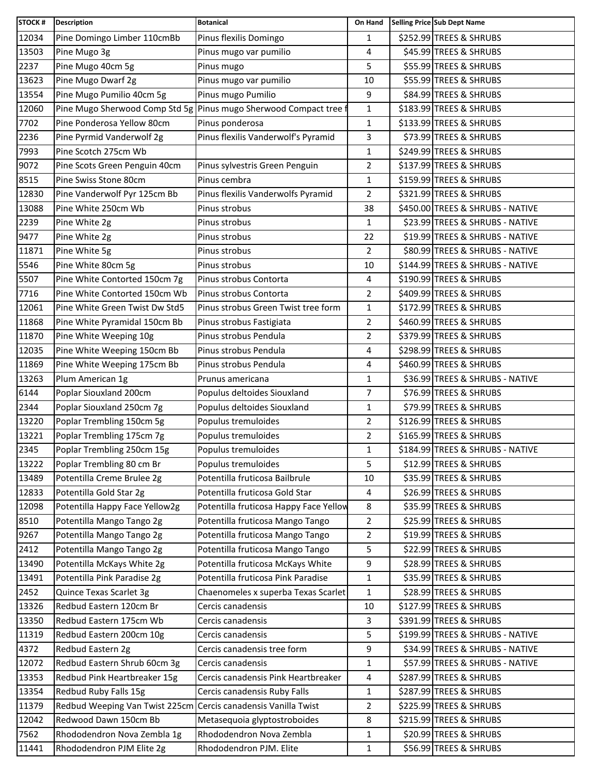| <b>STOCK#</b> | <b>Description</b>                                             | <b>Botanical</b>                                                | On Hand        | Selling Price Sub Dept Name      |
|---------------|----------------------------------------------------------------|-----------------------------------------------------------------|----------------|----------------------------------|
| 12034         | Pine Domingo Limber 110cmBb                                    | Pinus flexilis Domingo                                          | 1              | \$252.99 TREES & SHRUBS          |
| 13503         | Pine Mugo 3g                                                   | Pinus mugo var pumilio                                          | 4              | \$45.99 TREES & SHRUBS           |
| 2237          | Pine Mugo 40cm 5g                                              | Pinus mugo                                                      | 5              | \$55.99 TREES & SHRUBS           |
| 13623         | Pine Mugo Dwarf 2g                                             | Pinus mugo var pumilio                                          | 10             | \$55.99 TREES & SHRUBS           |
| 13554         | Pine Mugo Pumilio 40cm 5g                                      | Pinus mugo Pumilio                                              | 9              | \$84.99 TREES & SHRUBS           |
| 12060         |                                                                | Pine Mugo Sherwood Comp Std 5g Pinus mugo Sherwood Compact tree | $\mathbf{1}$   | \$183.99 TREES & SHRUBS          |
| 7702          | Pine Ponderosa Yellow 80cm                                     | Pinus ponderosa                                                 | 1              | \$133.99 TREES & SHRUBS          |
| 2236          | Pine Pyrmid Vanderwolf 2g                                      | Pinus flexilis Vanderwolf's Pyramid                             | 3              | \$73.99 TREES & SHRUBS           |
| 7993          | Pine Scotch 275cm Wb                                           |                                                                 | $\mathbf{1}$   | \$249.99 TREES & SHRUBS          |
| 9072          | Pine Scots Green Penguin 40cm                                  | Pinus sylvestris Green Penguin                                  | $\overline{2}$ | \$137.99 TREES & SHRUBS          |
| 8515          | Pine Swiss Stone 80cm                                          | Pinus cembra                                                    | $\mathbf{1}$   | \$159.99 TREES & SHRUBS          |
| 12830         | Pine Vanderwolf Pyr 125cm Bb                                   | Pinus flexilis Vanderwolfs Pyramid                              | 2              | \$321.99 TREES & SHRUBS          |
| 13088         | Pine White 250cm Wb                                            | Pinus strobus                                                   | 38             | \$450.00 TREES & SHRUBS - NATIVE |
| 2239          | Pine White 2g                                                  | Pinus strobus                                                   | 1              | \$23.99 TREES & SHRUBS - NATIVE  |
| 9477          | Pine White 2g                                                  | Pinus strobus                                                   | 22             | \$19.99 TREES & SHRUBS - NATIVE  |
| 11871         | Pine White 5g                                                  | Pinus strobus                                                   | $\overline{2}$ | \$80.99 TREES & SHRUBS - NATIVE  |
| 5546          | Pine White 80cm 5g                                             | Pinus strobus                                                   | 10             | \$144.99 TREES & SHRUBS - NATIVE |
| 5507          | Pine White Contorted 150cm 7g                                  | Pinus strobus Contorta                                          | 4              | \$190.99 TREES & SHRUBS          |
| 7716          | Pine White Contorted 150cm Wb                                  | Pinus strobus Contorta                                          | $\overline{2}$ | \$409.99 TREES & SHRUBS          |
| 12061         | Pine White Green Twist Dw Std5                                 | Pinus strobus Green Twist tree form                             | $\mathbf{1}$   | \$172.99 TREES & SHRUBS          |
| 11868         | Pine White Pyramidal 150cm Bb                                  | Pinus strobus Fastigiata                                        | 2              | \$460.99 TREES & SHRUBS          |
| 11870         | Pine White Weeping 10g                                         | Pinus strobus Pendula                                           | $\overline{2}$ | \$379.99 TREES & SHRUBS          |
| 12035         | Pine White Weeping 150cm Bb                                    | Pinus strobus Pendula                                           | 4              | \$298.99 TREES & SHRUBS          |
| 11869         | Pine White Weeping 175cm Bb                                    | Pinus strobus Pendula                                           | 4              | \$460.99 TREES & SHRUBS          |
| 13263         | Plum American 1g                                               | Prunus americana                                                | $\mathbf{1}$   | \$36.99 TREES & SHRUBS - NATIVE  |
| 6144          | Poplar Siouxland 200cm                                         | Populus deltoides Siouxland                                     | 7              | \$76.99 TREES & SHRUBS           |
| 2344          | Poplar Siouxland 250cm 7g                                      | Populus deltoides Siouxland                                     | $\mathbf{1}$   | \$79.99 TREES & SHRUBS           |
| 13220         | Poplar Trembling 150cm 5g                                      | Populus tremuloides                                             | 2              | \$126.99 TREES & SHRUBS          |
| 13221         | Poplar Trembling 175cm 7g                                      | Populus tremuloides                                             | $\overline{2}$ | \$165.99 TREES & SHRUBS          |
| 2345          | Poplar Trembling 250cm 15g                                     | Populus tremuloides                                             | $\mathbf{1}$   | \$184.99 TREES & SHRUBS - NATIVE |
| 13222         | Poplar Trembling 80 cm Br                                      | Populus tremuloides                                             | 5              | \$12.99 TREES & SHRUBS           |
| 13489         | Potentilla Creme Brulee 2g                                     | Potentilla fruticosa Bailbrule                                  | 10             | \$35.99 TREES & SHRUBS           |
| 12833         | Potentilla Gold Star 2g                                        | Potentilla fruticosa Gold Star                                  | 4              | \$26.99 TREES & SHRUBS           |
| 12098         | Potentilla Happy Face Yellow2g                                 | Potentilla fruticosa Happy Face Yellow                          | 8              | \$35.99 TREES & SHRUBS           |
| 8510          | Potentilla Mango Tango 2g                                      | Potentilla fruticosa Mango Tango                                | $\overline{2}$ | \$25.99 TREES & SHRUBS           |
| 9267          | Potentilla Mango Tango 2g                                      | Potentilla fruticosa Mango Tango                                | $\overline{2}$ | \$19.99 TREES & SHRUBS           |
| 2412          | Potentilla Mango Tango 2g                                      | Potentilla fruticosa Mango Tango                                | 5              | \$22.99 TREES & SHRUBS           |
| 13490         | Potentilla McKays White 2g                                     | Potentilla fruticosa McKays White                               | 9              | \$28.99 TREES & SHRUBS           |
| 13491         | Potentilla Pink Paradise 2g                                    | Potentilla fruticosa Pink Paradise                              | 1              | \$35.99 TREES & SHRUBS           |
| 2452          | Quince Texas Scarlet 3g                                        | Chaenomeles x superba Texas Scarlet                             | 1              | \$28.99 TREES & SHRUBS           |
| 13326         | Redbud Eastern 120cm Br                                        | Cercis canadensis                                               | 10             | \$127.99 TREES & SHRUBS          |
| 13350         | Redbud Eastern 175cm Wb                                        | Cercis canadensis                                               | 3              | \$391.99 TREES & SHRUBS          |
| 11319         | Redbud Eastern 200cm 10g                                       | Cercis canadensis                                               | 5              | \$199.99 TREES & SHRUBS - NATIVE |
| 4372          | Redbud Eastern 2g                                              | Cercis canadensis tree form                                     | 9              | \$34.99 TREES & SHRUBS - NATIVE  |
| 12072         | Redbud Eastern Shrub 60cm 3g                                   | Cercis canadensis                                               | 1              | \$57.99 TREES & SHRUBS - NATIVE  |
| 13353         | Redbud Pink Heartbreaker 15g                                   | Cercis canadensis Pink Heartbreaker                             | 4              | \$287.99 TREES & SHRUBS          |
| 13354         | Redbud Ruby Falls 15g                                          | Cercis canadensis Ruby Falls                                    | $\mathbf 1$    | \$287.99 TREES & SHRUBS          |
| 11379         | Redbud Weeping Van Twist 225cm Cercis canadensis Vanilla Twist |                                                                 | $\overline{c}$ | \$225.99 TREES & SHRUBS          |
| 12042         | Redwood Dawn 150cm Bb                                          | Metasequoia glyptostroboides                                    | 8              | \$215.99 TREES & SHRUBS          |
| 7562          | Rhododendron Nova Zembla 1g                                    | Rhododendron Nova Zembla                                        | 1              | \$20.99 TREES & SHRUBS           |
| 11441         | Rhododendron PJM Elite 2g                                      | Rhododendron PJM. Elite                                         | 1              | \$56.99 TREES & SHRUBS           |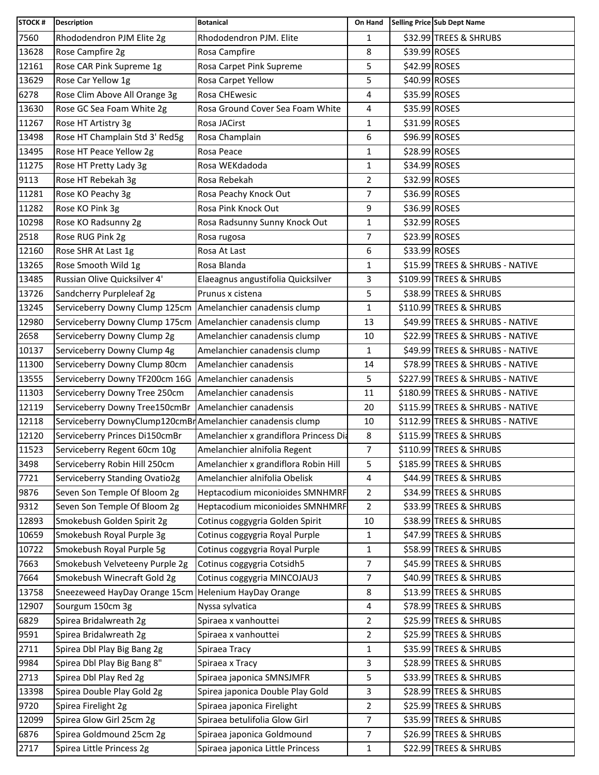| <b>STOCK#</b> | <b>Description</b>                                         | <b>Botanical</b>                       | On Hand        |               | Selling Price Sub Dept Name      |
|---------------|------------------------------------------------------------|----------------------------------------|----------------|---------------|----------------------------------|
| 7560          | Rhododendron PJM Elite 2g                                  | Rhododendron PJM. Elite                | $\mathbf{1}$   |               | \$32.99 TREES & SHRUBS           |
| 13628         | Rose Campfire 2g                                           | Rosa Campfire                          | 8              | \$39.99 ROSES |                                  |
| 12161         | Rose CAR Pink Supreme 1g                                   | Rosa Carpet Pink Supreme               | 5              | \$42.99 ROSES |                                  |
| 13629         | Rose Car Yellow 1g                                         | Rosa Carpet Yellow                     | 5              | \$40.99 ROSES |                                  |
| 6278          | Rose Clim Above All Orange 3g                              | Rosa CHEwesic                          | 4              | \$35.99 ROSES |                                  |
| 13630         | Rose GC Sea Foam White 2g                                  | Rosa Ground Cover Sea Foam White       | 4              | \$35.99 ROSES |                                  |
| 11267         | Rose HT Artistry 3g                                        | Rosa JACirst                           | 1              | \$31.99 ROSES |                                  |
| 13498         | Rose HT Champlain Std 3' Red5g                             | Rosa Champlain                         | 6              | \$96.99 ROSES |                                  |
| 13495         | Rose HT Peace Yellow 2g                                    | Rosa Peace                             | 1              | \$28.99 ROSES |                                  |
| 11275         | Rose HT Pretty Lady 3g                                     | Rosa WEKdadoda                         | $\mathbf{1}$   | \$34.99 ROSES |                                  |
| 9113          | Rose HT Rebekah 3g                                         | Rosa Rebekah                           | 2              | \$32.99 ROSES |                                  |
| 11281         | Rose KO Peachy 3g                                          | Rosa Peachy Knock Out                  | 7              | \$36.99 ROSES |                                  |
| 11282         | Rose KO Pink 3g                                            | Rosa Pink Knock Out                    | 9              | \$36.99 ROSES |                                  |
| 10298         | Rose KO Radsunny 2g                                        | Rosa Radsunny Sunny Knock Out          | 1              | \$32.99 ROSES |                                  |
| 2518          | Rose RUG Pink 2g                                           | Rosa rugosa                            | 7              | \$23.99 ROSES |                                  |
| 12160         | Rose SHR At Last 1g                                        | Rosa At Last                           | 6              | \$33.99 ROSES |                                  |
| 13265         | Rose Smooth Wild 1g                                        | Rosa Blanda                            | 1              |               | \$15.99 TREES & SHRUBS - NATIVE  |
| 13485         | Russian Olive Quicksilver 4'                               | Elaeagnus angustifolia Quicksilver     | 3              |               | \$109.99 TREES & SHRUBS          |
| 13726         | Sandcherry Purpleleaf 2g                                   | Prunus x cistena                       | 5              |               | \$38.99 TREES & SHRUBS           |
| 13245         | Serviceberry Downy Clump 125cm                             | Amelanchier canadensis clump           | 1              |               | \$110.99 TREES & SHRUBS          |
| 12980         | Serviceberry Downy Clump 175cm                             | Amelanchier canadensis clump           | 13             |               | \$49.99 TREES & SHRUBS - NATIVE  |
| 2658          | Serviceberry Downy Clump 2g                                | Amelanchier canadensis clump           | 10             |               | \$22.99 TREES & SHRUBS - NATIVE  |
| 10137         | Serviceberry Downy Clump 4g                                | Amelanchier canadensis clump           | $\mathbf{1}$   |               | \$49.99 TREES & SHRUBS - NATIVE  |
| 11300         | Serviceberry Downy Clump 80cm                              | Amelanchier canadensis                 | 14             |               | \$78.99 TREES & SHRUBS - NATIVE  |
| 13555         | Serviceberry Downy TF200cm 16G   Amelanchier canadensis    |                                        | 5              |               | \$227.99 TREES & SHRUBS - NATIVE |
| 11303         | Serviceberry Downy Tree 250cm                              | Amelanchier canadensis                 | 11             |               | \$180.99 TREES & SHRUBS - NATIVE |
| 12119         | Serviceberry Downy Tree150cmBr                             | Amelanchier canadensis                 | 20             |               | \$115.99 TREES & SHRUBS - NATIVE |
| 12118         | Serviceberry DownyClump120cmBrAmelanchier canadensis clump |                                        | 10             |               | \$112.99 TREES & SHRUBS - NATIVE |
| 12120         | Serviceberry Princes Di150cmBr                             | Amelanchier x grandiflora Princess Dia | 8              |               | \$115.99 TREES & SHRUBS          |
| 11523         | Serviceberry Regent 60cm 10g                               | Amelanchier alnifolia Regent           | $\overline{7}$ |               | \$110.99 TREES & SHRUBS          |
| 3498          | Serviceberry Robin Hill 250cm                              | Amelanchier x grandiflora Robin Hill   | 5              |               | \$185.99 TREES & SHRUBS          |
| 7721          | Serviceberry Standing Ovatio2g                             | Amelanchier alnifolia Obelisk          | 4              |               | \$44.99 TREES & SHRUBS           |
| 9876          | Seven Son Temple Of Bloom 2g                               | Heptacodium miconioides SMNHMRF        | 2              |               | \$34.99 TREES & SHRUBS           |
| 9312          | Seven Son Temple Of Bloom 2g                               | Heptacodium miconioides SMNHMRF        | $\overline{2}$ |               | \$33.99 TREES & SHRUBS           |
| 12893         | Smokebush Golden Spirit 2g                                 | Cotinus coggygria Golden Spirit        | 10             |               | \$38.99 TREES & SHRUBS           |
| 10659         | Smokebush Royal Purple 3g                                  | Cotinus coggygria Royal Purple         | $\mathbf{1}$   |               | \$47.99 TREES & SHRUBS           |
| 10722         | Smokebush Royal Purple 5g                                  | Cotinus coggygria Royal Purple         | 1              |               | \$58.99 TREES & SHRUBS           |
| 7663          | Smokebush Velveteeny Purple 2g                             | Cotinus coggygria Cotsidh5             | $\overline{7}$ |               | \$45.99 TREES & SHRUBS           |
| 7664          | Smokebush Winecraft Gold 2g                                | Cotinus coggygria MINCOJAU3            | $\overline{7}$ |               | \$40.99 TREES & SHRUBS           |
| 13758         | Sneezeweed HayDay Orange 15cm   Helenium HayDay Orange     |                                        | 8              |               | \$13.99 TREES & SHRUBS           |
| 12907         | Sourgum 150cm 3g                                           | Nyssa sylvatica                        | 4              |               | \$78.99 TREES & SHRUBS           |
| 6829          | Spirea Bridalwreath 2g                                     | Spiraea x vanhouttei                   | 2              |               | \$25.99 TREES & SHRUBS           |
| 9591          | Spirea Bridalwreath 2g                                     | Spiraea x vanhouttei                   | $\overline{a}$ |               | \$25.99 TREES & SHRUBS           |
| 2711          | Spirea Dbl Play Big Bang 2g                                | Spiraea Tracy                          | $\mathbf{1}$   |               | \$35.99 TREES & SHRUBS           |
| 9984          | Spirea Dbl Play Big Bang 8"                                | Spiraea x Tracy                        | 3              |               | \$28.99 TREES & SHRUBS           |
| 2713          | Spirea Dbl Play Red 2g                                     | Spiraea japonica SMNSJMFR              | 5              |               | \$33.99 TREES & SHRUBS           |
| 13398         | Spirea Double Play Gold 2g                                 | Spirea japonica Double Play Gold       | 3              |               | \$28.99 TREES & SHRUBS           |
| 9720          | Spirea Firelight 2g                                        | Spiraea japonica Firelight             | $\overline{2}$ |               | \$25.99 TREES & SHRUBS           |
| 12099         | Spirea Glow Girl 25cm 2g                                   | Spiraea betulifolia Glow Girl          | $\overline{7}$ |               | \$35.99 TREES & SHRUBS           |
| 6876          | Spirea Goldmound 25cm 2g                                   | Spiraea japonica Goldmound             | $\overline{7}$ |               | \$26.99 TREES & SHRUBS           |
| 2717          | Spirea Little Princess 2g                                  | Spiraea japonica Little Princess       | $\mathbf{1}$   |               | \$22.99 TREES & SHRUBS           |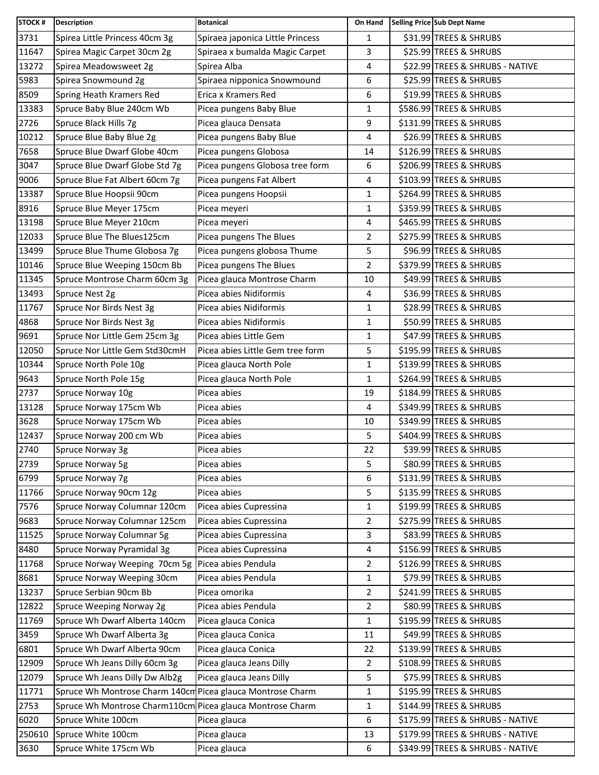| <b>STOCK#</b> | <b>Description</b>                                         | <b>Botanical</b>                 | On Hand        | Selling Price Sub Dept Name      |
|---------------|------------------------------------------------------------|----------------------------------|----------------|----------------------------------|
| 3731          | Spirea Little Princess 40cm 3g                             | Spiraea japonica Little Princess | 1              | \$31.99 TREES & SHRUBS           |
| 11647         | Spirea Magic Carpet 30cm 2g                                | Spiraea x bumalda Magic Carpet   | 3              | \$25.99 TREES & SHRUBS           |
| 13272         | Spirea Meadowsweet 2g                                      | Spirea Alba                      | $\overline{4}$ | \$22.99 TREES & SHRUBS - NATIVE  |
| 5983          | Spirea Snowmound 2g                                        | Spiraea nipponica Snowmound      | 6              | \$25.99 TREES & SHRUBS           |
| 8509          | Spring Heath Kramers Red                                   | Erica x Kramers Red              | 6              | \$19.99 TREES & SHRUBS           |
| 13383         | Spruce Baby Blue 240cm Wb                                  | Picea pungens Baby Blue          | $\mathbf{1}$   | \$586.99 TREES & SHRUBS          |
| 2726          | Spruce Black Hills 7g                                      | Picea glauca Densata             | 9              | \$131.99 TREES & SHRUBS          |
| 10212         | Spruce Blue Baby Blue 2g                                   | Picea pungens Baby Blue          | 4              | \$26.99 TREES & SHRUBS           |
| 7658          | Spruce Blue Dwarf Globe 40cm                               | Picea pungens Globosa            | 14             | \$126.99 TREES & SHRUBS          |
| 3047          | Spruce Blue Dwarf Globe Std 7g                             | Picea pungens Globosa tree form  | 6              | \$206.99 TREES & SHRUBS          |
| 9006          | Spruce Blue Fat Albert 60cm 7g                             | Picea pungens Fat Albert         | 4              | \$103.99 TREES & SHRUBS          |
| 13387         | Spruce Blue Hoopsii 90cm                                   | Picea pungens Hoopsii            | $\mathbf{1}$   | \$264.99 TREES & SHRUBS          |
| 8916          | Spruce Blue Meyer 175cm                                    | Picea meyeri                     | $\mathbf{1}$   | \$359.99 TREES & SHRUBS          |
| 13198         | Spruce Blue Meyer 210cm                                    | Picea meyeri                     | 4              | \$465.99 TREES & SHRUBS          |
| 12033         | Spruce Blue The Blues125cm                                 | Picea pungens The Blues          | $\overline{2}$ | \$275.99 TREES & SHRUBS          |
| 13499         | Spruce Blue Thume Globosa 7g                               | Picea pungens globosa Thume      | 5              | \$96.99 TREES & SHRUBS           |
| 10146         | Spruce Blue Weeping 150cm Bb                               | Picea pungens The Blues          | $\overline{2}$ | \$379.99 TREES & SHRUBS          |
| 11345         | Spruce Montrose Charm 60cm 3g                              | Picea glauca Montrose Charm      | 10             | \$49.99 TREES & SHRUBS           |
| 13493         | Spruce Nest 2g                                             | Picea abies Nidiformis           | 4              | \$36.99 TREES & SHRUBS           |
| 11767         | Spruce Nor Birds Nest 3g                                   | Picea abies Nidiformis           | 1              | \$28.99 TREES & SHRUBS           |
| 4868          | Spruce Nor Birds Nest 3g                                   | Picea abies Nidiformis           | 1              | \$50.99 TREES & SHRUBS           |
| 9691          | Spruce Nor Little Gem 25cm 3g                              | Picea abies Little Gem           | 1              | \$47.99 TREES & SHRUBS           |
| 12050         | Spruce Nor Little Gem Std30cmH                             | Picea abies Little Gem tree form | 5              | \$195.99 TREES & SHRUBS          |
| 10344         | Spruce North Pole 10g                                      | Picea glauca North Pole          | $\mathbf{1}$   | \$139.99 TREES & SHRUBS          |
| 9643          | Spruce North Pole 15g                                      | Picea glauca North Pole          | $\mathbf{1}$   | \$264.99 TREES & SHRUBS          |
| 2737          | Spruce Norway 10g                                          | Picea abies                      | 19             | \$184.99 TREES & SHRUBS          |
| 13128         | Spruce Norway 175cm Wb                                     | Picea abies                      | $\overline{4}$ | \$349.99 TREES & SHRUBS          |
| 3628          | Spruce Norway 175cm Wb                                     | Picea abies                      | 10             | \$349.99 TREES & SHRUBS          |
| 12437         | Spruce Norway 200 cm Wb                                    | Picea abies                      | 5              | \$404.99 TREES & SHRUBS          |
| 2740          | Spruce Norway 3g                                           | Picea abies                      | 22             | \$39.99 TREES & SHRUBS           |
| 2739          | Spruce Norway 5g                                           | Picea abies                      | 5              | \$80.99 TREES & SHRUBS           |
| 6799          | Spruce Norway 7g                                           | Picea abies                      | 6              | \$131.99 TREES & SHRUBS          |
| 11766         | Spruce Norway 90cm 12g                                     | Picea abies                      | 5              | \$135.99 TREES & SHRUBS          |
| 7576          | Spruce Norway Columnar 120cm                               | Picea abies Cupressina           | $\mathbf{1}$   | \$199.99 TREES & SHRUBS          |
| 9683          | Spruce Norway Columnar 125cm                               | Picea abies Cupressina           | $\overline{2}$ | \$275.99 TREES & SHRUBS          |
| 11525         | Spruce Norway Columnar 5g                                  | Picea abies Cupressina           | 3              | \$83.99 TREES & SHRUBS           |
| 8480          | Spruce Norway Pyramidal 3g                                 | Picea abies Cupressina           | 4              | \$156.99 TREES & SHRUBS          |
| 11768         | Spruce Norway Weeping 70cm 5g                              | Picea abies Pendula              | $\overline{2}$ | \$126.99 TREES & SHRUBS          |
| 8681          | Spruce Norway Weeping 30cm                                 | Picea abies Pendula              | 1              | \$79.99 TREES & SHRUBS           |
| 13237         | Spruce Serbian 90cm Bb                                     | Picea omorika                    | $\overline{2}$ | \$241.99 TREES & SHRUBS          |
| 12822         | Spruce Weeping Norway 2g                                   | Picea abies Pendula              | $\overline{2}$ | \$80.99 TREES & SHRUBS           |
| 11769         | Spruce Wh Dwarf Alberta 140cm                              | Picea glauca Conica              | $\mathbf 1$    | \$195.99 TREES & SHRUBS          |
| 3459          | Spruce Wh Dwarf Alberta 3g                                 | Picea glauca Conica              | 11             | \$49.99 TREES & SHRUBS           |
| 6801          | Spruce Wh Dwarf Alberta 90cm                               | Picea glauca Conica              | 22             | \$139.99 TREES & SHRUBS          |
| 12909         | Spruce Wh Jeans Dilly 60cm 3g                              | Picea glauca Jeans Dilly         | $\overline{2}$ | \$108.99 TREES & SHRUBS          |
| 12079         | Spruce Wh Jeans Dilly Dw Alb2g                             | Picea glauca Jeans Dilly         | 5              | \$75.99 TREES & SHRUBS           |
| 11771         | Spruce Wh Montrose Charm 140cm Picea glauca Montrose Charm |                                  | 1              | \$195.99 TREES & SHRUBS          |
| 2753          | Spruce Wh Montrose Charm110cm Picea glauca Montrose Charm  |                                  | 1              | \$144.99 TREES & SHRUBS          |
| 6020          | Spruce White 100cm                                         | Picea glauca                     | 6              | \$175.99 TREES & SHRUBS - NATIVE |
| 250610        | Spruce White 100cm                                         | Picea glauca                     | 13             | \$179.99 TREES & SHRUBS - NATIVE |
| 3630          | Spruce White 175cm Wb                                      | Picea glauca                     | 6              | \$349.99 TREES & SHRUBS - NATIVE |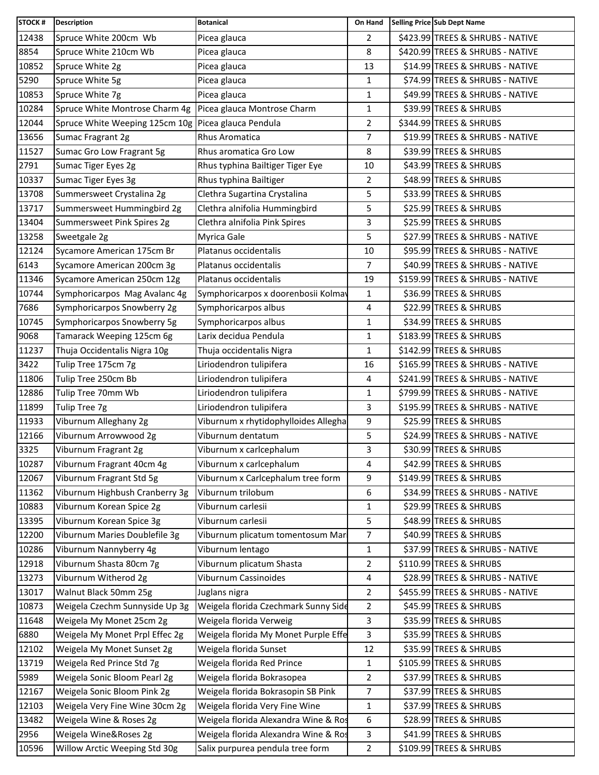| <b>STOCK#</b> | <b>Description</b>                                  | <b>Botanical</b>                     | On Hand        | Selling Price Sub Dept Name      |
|---------------|-----------------------------------------------------|--------------------------------------|----------------|----------------------------------|
| 12438         | Spruce White 200cm Wb                               | Picea glauca                         | $\overline{2}$ | \$423.99 TREES & SHRUBS - NATIVE |
| 8854          | Spruce White 210cm Wb                               | Picea glauca                         | 8              | \$420.99 TREES & SHRUBS - NATIVE |
| 10852         | Spruce White 2g                                     | Picea glauca                         | 13             | \$14.99 TREES & SHRUBS - NATIVE  |
| 5290          | Spruce White 5g                                     | Picea glauca                         | 1              | \$74.99 TREES & SHRUBS - NATIVE  |
| 10853         | Spruce White 7g                                     | Picea glauca                         | 1              | \$49.99 TREES & SHRUBS - NATIVE  |
| 10284         | Spruce White Montrose Charm 4g                      | Picea glauca Montrose Charm          | 1              | \$39.99 TREES & SHRUBS           |
| 12044         | Spruce White Weeping 125cm 10g Picea glauca Pendula |                                      | 2              | \$344.99 TREES & SHRUBS          |
| 13656         | Sumac Fragrant 2g                                   | <b>Rhus Aromatica</b>                | $\overline{7}$ | \$19.99 TREES & SHRUBS - NATIVE  |
| 11527         | Sumac Gro Low Fragrant 5g                           | Rhus aromatica Gro Low               | 8              | \$39.99 TREES & SHRUBS           |
| 2791          | Sumac Tiger Eyes 2g                                 | Rhus typhina Bailtiger Tiger Eye     | 10             | \$43.99 TREES & SHRUBS           |
| 10337         | Sumac Tiger Eyes 3g                                 | Rhus typhina Bailtiger               | $\overline{2}$ | \$48.99 TREES & SHRUBS           |
| 13708         | Summersweet Crystalina 2g                           | Clethra Sugartina Crystalina         | 5              | \$33.99 TREES & SHRUBS           |
| 13717         | Summersweet Hummingbird 2g                          | Clethra alnifolia Hummingbird        | 5              | \$25.99 TREES & SHRUBS           |
| 13404         | Summersweet Pink Spires 2g                          | Clethra alnifolia Pink Spires        | 3              | \$25.99 TREES & SHRUBS           |
| 13258         | Sweetgale 2g                                        | Myrica Gale                          | 5              | \$27.99 TREES & SHRUBS - NATIVE  |
| 12124         | Sycamore American 175cm Br                          | Platanus occidentalis                | 10             | \$95.99 TREES & SHRUBS - NATIVE  |
| 6143          | Sycamore American 200cm 3g                          | Platanus occidentalis                | 7              | \$40.99 TREES & SHRUBS - NATIVE  |
| 11346         | Sycamore American 250cm 12g                         | Platanus occidentalis                | 19             | \$159.99 TREES & SHRUBS - NATIVE |
| 10744         | Symphoricarpos Mag Avalanc 4g                       | Symphoricarpos x doorenbosii Kolmay  | 1              | \$36.99 TREES & SHRUBS           |
| 7686          | Symphoricarpos Snowberry 2g                         | Symphoricarpos albus                 | 4              | \$22.99 TREES & SHRUBS           |
| 10745         | Symphoricarpos Snowberry 5g                         | Symphoricarpos albus                 | 1              | \$34.99 TREES & SHRUBS           |
| 9068          | Tamarack Weeping 125cm 6g                           | Larix decidua Pendula                | 1              | \$183.99 TREES & SHRUBS          |
| 11237         | Thuja Occidentalis Nigra 10g                        | Thuja occidentalis Nigra             | 1              | \$142.99 TREES & SHRUBS          |
| 3422          | Tulip Tree 175cm 7g                                 | Liriodendron tulipifera              | 16             | \$165.99 TREES & SHRUBS - NATIVE |
| 11806         | Tulip Tree 250cm Bb                                 | Liriodendron tulipifera              | 4              | \$241.99 TREES & SHRUBS - NATIVE |
| 12886         | Tulip Tree 70mm Wb                                  | Liriodendron tulipifera              | 1              | \$799.99 TREES & SHRUBS - NATIVE |
| 11899         | Tulip Tree 7g                                       | Liriodendron tulipifera              | 3              | \$195.99 TREES & SHRUBS - NATIVE |
| 11933         | Viburnum Alleghany 2g                               | Viburnum x rhytidophylloides Allegha | 9              | \$25.99 TREES & SHRUBS           |
| 12166         | Viburnum Arrowwood 2g                               | Viburnum dentatum                    | 5              | \$24.99 TREES & SHRUBS - NATIVE  |
| 3325          | Viburnum Fragrant 2g                                | Viburnum x carlcephalum              | 3              | \$30.99 TREES & SHRUBS           |
| 10287         | Viburnum Fragrant 40cm 4g                           | Viburnum x carlcephalum              | 4              | \$42.99 TREES & SHRUBS           |
| 12067         | Viburnum Fragrant Std 5g                            | Viburnum x Carlcephalum tree form    | 9              | \$149.99 TREES & SHRUBS          |
| 11362         | Viburnum Highbush Cranberry 3g                      | Viburnum trilobum                    | 6              | \$34.99 TREES & SHRUBS - NATIVE  |
| 10883         | Viburnum Korean Spice 2g                            | Viburnum carlesii                    | $\mathbf{1}$   | \$29.99 TREES & SHRUBS           |
| 13395         | Viburnum Korean Spice 3g                            | Viburnum carlesii                    | 5              | \$48.99 TREES & SHRUBS           |
| 12200         | Viburnum Maries Doublefile 3g                       | Viburnum plicatum tomentosum Mar     | 7              | \$40.99 TREES & SHRUBS           |
| 10286         | Viburnum Nannyberry 4g                              | Viburnum lentago                     | 1              | \$37.99 TREES & SHRUBS - NATIVE  |
| 12918         | Viburnum Shasta 80cm 7g                             | Viburnum plicatum Shasta             | 2              | \$110.99 TREES & SHRUBS          |
| 13273         | Viburnum Witherod 2g                                | Viburnum Cassinoides                 | 4              | \$28.99 TREES & SHRUBS - NATIVE  |
| 13017         | Walnut Black 50mm 25g                               | Juglans nigra                        | $\overline{c}$ | \$455.99 TREES & SHRUBS - NATIVE |
| 10873         | Weigela Czechm Sunnyside Up 3g                      | Weigela florida Czechmark Sunny Side | 2              | \$45.99 TREES & SHRUBS           |
| 11648         | Weigela My Monet 25cm 2g                            | Weigela florida Verweig              | 3              | \$35.99 TREES & SHRUBS           |
| 6880          | Weigela My Monet Prpl Effec 2g                      | Weigela florida My Monet Purple Effe | 3              | \$35.99 TREES & SHRUBS           |
| 12102         | Weigela My Monet Sunset 2g                          | Weigela florida Sunset               | 12             | \$35.99 TREES & SHRUBS           |
| 13719         | Weigela Red Prince Std 7g                           | Weigela florida Red Prince           | 1              | \$105.99 TREES & SHRUBS          |
| 5989          | Weigela Sonic Bloom Pearl 2g                        | Weigela florida Bokrasopea           | $\overline{2}$ | \$37.99 TREES & SHRUBS           |
| 12167         | Weigela Sonic Bloom Pink 2g                         | Weigela florida Bokrasopin SB Pink   | 7              | \$37.99 TREES & SHRUBS           |
| 12103         | Weigela Very Fine Wine 30cm 2g                      | Weigela florida Very Fine Wine       | 1              | \$37.99 TREES & SHRUBS           |
| 13482         | Weigela Wine & Roses 2g                             | Weigela florida Alexandra Wine & Ros | 6              | \$28.99 TREES & SHRUBS           |
| 2956          | Weigela Wine&Roses 2g                               | Weigela florida Alexandra Wine & Ros | 3              | \$41.99 TREES & SHRUBS           |
| 10596         | Willow Arctic Weeping Std 30g                       | Salix purpurea pendula tree form     | $\overline{2}$ | \$109.99 TREES & SHRUBS          |